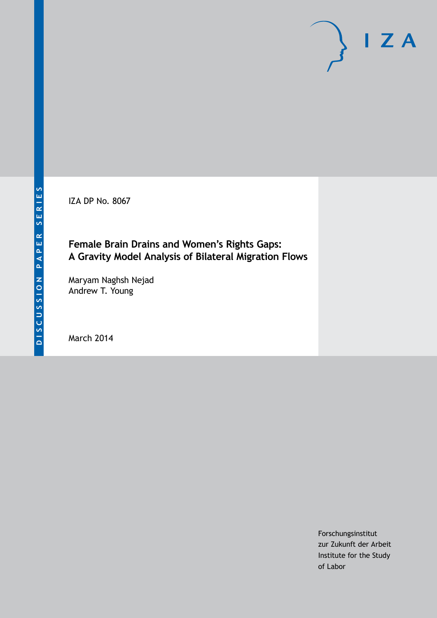IZA DP No. 8067

# **Female Brain Drains and Women's Rights Gaps: A Gravity Model Analysis of Bilateral Migration Flows**

Maryam Naghsh Nejad Andrew T. Young

March 2014

Forschungsinstitut zur Zukunft der Arbeit Institute for the Study of Labor

 $I Z A$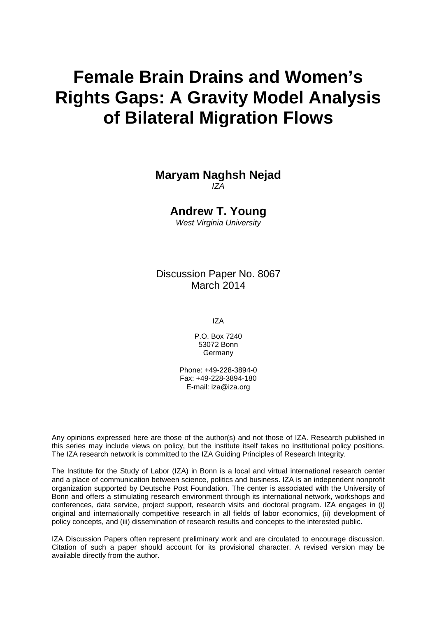# **Female Brain Drains and Women's Rights Gaps: A Gravity Model Analysis of Bilateral Migration Flows**

### **Maryam Naghsh Nejad** *IZA*

**Andrew T. Young**

*West Virginia University*

Discussion Paper No. 8067 March 2014

IZA

P.O. Box 7240 53072 Bonn **Germany** 

Phone: +49-228-3894-0 Fax: +49-228-3894-180 E-mail: [iza@iza.org](mailto:iza@iza.org)

Any opinions expressed here are those of the author(s) and not those of IZA. Research published in this series may include views on policy, but the institute itself takes no institutional policy positions. The IZA research network is committed to the IZA Guiding Principles of Research Integrity.

The Institute for the Study of Labor (IZA) in Bonn is a local and virtual international research center and a place of communication between science, politics and business. IZA is an independent nonprofit organization supported by Deutsche Post Foundation. The center is associated with the University of Bonn and offers a stimulating research environment through its international network, workshops and conferences, data service, project support, research visits and doctoral program. IZA engages in (i) original and internationally competitive research in all fields of labor economics, (ii) development of policy concepts, and (iii) dissemination of research results and concepts to the interested public.

IZA Discussion Papers often represent preliminary work and are circulated to encourage discussion. Citation of such a paper should account for its provisional character. A revised version may be available directly from the author.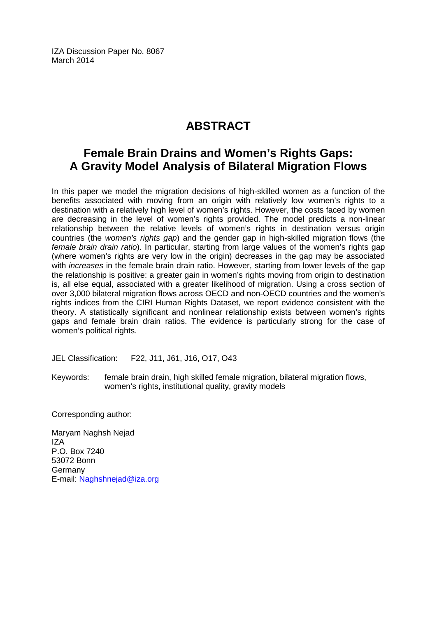IZA Discussion Paper No. 8067 March 2014

# **ABSTRACT**

# **Female Brain Drains and Women's Rights Gaps: A Gravity Model Analysis of Bilateral Migration Flows**

In this paper we model the migration decisions of high-skilled women as a function of the benefits associated with moving from an origin with relatively low women's rights to a destination with a relatively high level of women's rights. However, the costs faced by women are decreasing in the level of women's rights provided. The model predicts a non-linear relationship between the relative levels of women's rights in destination versus origin countries (the *women's rights gap*) and the gender gap in high-skilled migration flows (the *female brain drain ratio*). In particular, starting from large values of the women's rights gap (where women's rights are very low in the origin) decreases in the gap may be associated with *increases* in the female brain drain ratio. However, starting from lower levels of the gap the relationship is positive: a greater gain in women's rights moving from origin to destination is, all else equal, associated with a greater likelihood of migration. Using a cross section of over 3,000 bilateral migration flows across OECD and non-OECD countries and the women's rights indices from the CIRI Human Rights Dataset, we report evidence consistent with the theory. A statistically significant and nonlinear relationship exists between women's rights gaps and female brain drain ratios. The evidence is particularly strong for the case of women's political rights.

JEL Classification: F22, J11, J61, J16, O17, O43

Keywords: female brain drain, high skilled female migration, bilateral migration flows, women's rights, institutional quality, gravity models

Corresponding author:

Maryam Naghsh Nejad IZA P.O. Box 7240 53072 Bonn Germany E-mail: [Naghshnejad@iza.org](mailto:Naghshnejad@iza.org)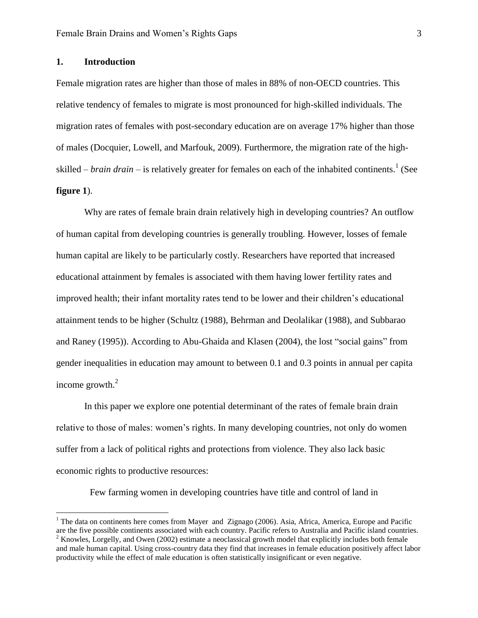#### **1. Introduction**

 $\overline{a}$ 

Female migration rates are higher than those of males in 88% of non-OECD countries. This relative tendency of females to migrate is most pronounced for high-skilled individuals. The migration rates of females with post-secondary education are on average 17% higher than those of males (Docquier, Lowell, and Marfouk, 2009). Furthermore, the migration rate of the highskilled – *brain drain* – is relatively greater for females on each of the inhabited continents. 1 (See **figure 1**).

Why are rates of female brain drain relatively high in developing countries? An outflow of human capital from developing countries is generally troubling. However, losses of female human capital are likely to be particularly costly. Researchers have reported that increased educational attainment by females is associated with them having lower fertility rates and improved health; their infant mortality rates tend to be lower and their children's educational attainment tends to be higher (Schultz (1988), Behrman and Deolalikar (1988), and Subbarao and Raney (1995)). According to Abu-Ghaida and Klasen (2004), the lost "social gains" from gender inequalities in education may amount to between 0.1 and 0.3 points in annual per capita income growth.<sup>2</sup>

In this paper we explore one potential determinant of the rates of female brain drain relative to those of males: women's rights. In many developing countries, not only do women suffer from a lack of political rights and protections from violence. They also lack basic economic rights to productive resources:

Few farming women in developing countries have title and control of land in

 $1$  The data on continents here comes from Mayer and Zignago (2006). Asia, Africa, America, Europe and Pacific are the five possible continents associated with each country. Pacific refers to Australia and Pacific island countries. <sup>2</sup> Knowles, Lorgelly, and Owen (2002) estimate a neoclassical growth model that explicitly includes both female and male human capital. Using cross-country data they find that increases in female education positively affect labor productivity while the effect of male education is often statistically insignificant or even negative.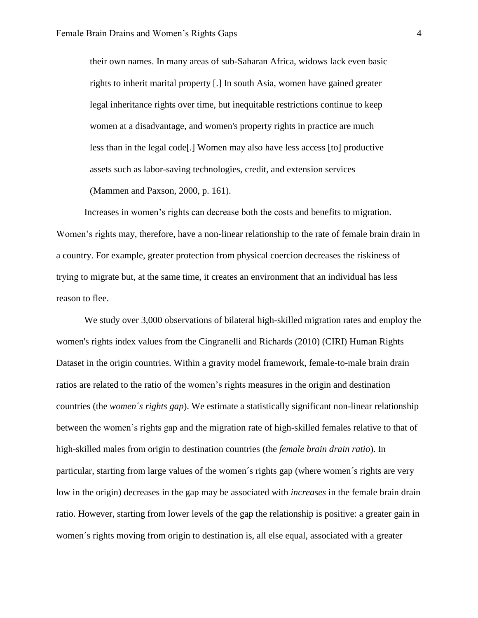their own names. In many areas of sub-Saharan Africa, widows lack even basic rights to inherit marital property [.] In south Asia, women have gained greater legal inheritance rights over time, but inequitable restrictions continue to keep women at a disadvantage, and women's property rights in practice are much less than in the legal code[.] Women may also have less access [to] productive assets such as labor-saving technologies, credit, and extension services

(Mammen and Paxson, 2000, p. 161).

Increases in women's rights can decrease both the costs and benefits to migration. Women's rights may, therefore, have a non-linear relationship to the rate of female brain drain in a country. For example, greater protection from physical coercion decreases the riskiness of trying to migrate but, at the same time, it creates an environment that an individual has less reason to flee.

We study over 3,000 observations of bilateral high-skilled migration rates and employ the women's rights index values from the Cingranelli and Richards (2010) (CIRI) Human Rights Dataset in the origin countries. Within a gravity model framework, female-to-male brain drain ratios are related to the ratio of the women's rights measures in the origin and destination countries (the *women´s rights gap*). We estimate a statistically significant non-linear relationship between the women's rights gap and the migration rate of high-skilled females relative to that of high-skilled males from origin to destination countries (the *female brain drain ratio*). In particular, starting from large values of the women´s rights gap (where women´s rights are very low in the origin) decreases in the gap may be associated with *increases* in the female brain drain ratio. However, starting from lower levels of the gap the relationship is positive: a greater gain in women´s rights moving from origin to destination is, all else equal, associated with a greater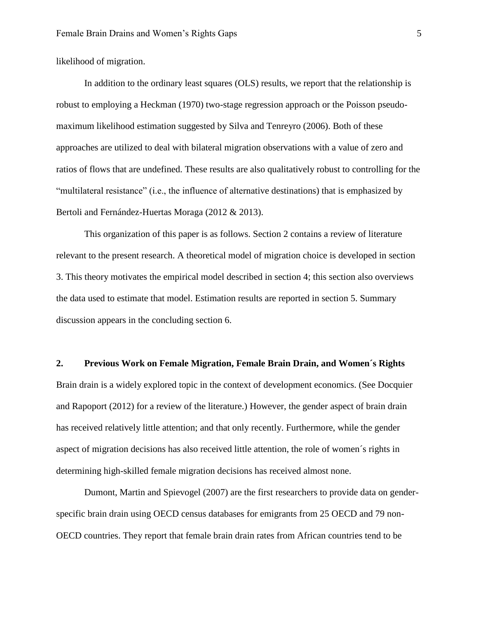likelihood of migration.

In addition to the ordinary least squares (OLS) results, we report that the relationship is robust to employing a Heckman (1970) two-stage regression approach or the Poisson pseudomaximum likelihood estimation suggested by Silva and Tenreyro (2006). Both of these approaches are utilized to deal with bilateral migration observations with a value of zero and ratios of flows that are undefined. These results are also qualitatively robust to controlling for the "multilateral resistance" (i.e., the influence of alternative destinations) that is emphasized by Bertoli and Fernández-Huertas Moraga (2012 & 2013).

This organization of this paper is as follows. Section 2 contains a review of literature relevant to the present research. A theoretical model of migration choice is developed in section 3. This theory motivates the empirical model described in section 4; this section also overviews the data used to estimate that model. Estimation results are reported in section 5. Summary discussion appears in the concluding section 6.

#### **2. Previous Work on Female Migration, Female Brain Drain, and Women´s Rights**

Brain drain is a widely explored topic in the context of development economics. (See Docquier and Rapoport (2012) for a review of the literature.) However, the gender aspect of brain drain has received relatively little attention; and that only recently. Furthermore, while the gender aspect of migration decisions has also received little attention, the role of women´s rights in determining high-skilled female migration decisions has received almost none.

Dumont, Martin and Spievogel (2007) are the first researchers to provide data on genderspecific brain drain using OECD census databases for emigrants from 25 OECD and 79 non-OECD countries. They report that female brain drain rates from African countries tend to be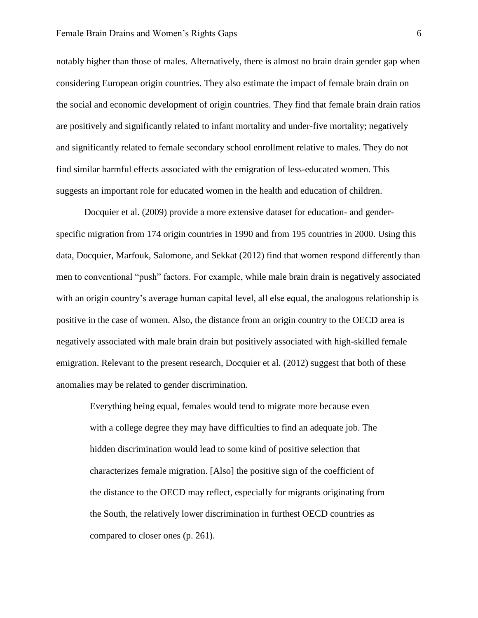notably higher than those of males. Alternatively, there is almost no brain drain gender gap when considering European origin countries. They also estimate the impact of female brain drain on the social and economic development of origin countries. They find that female brain drain ratios are positively and significantly related to infant mortality and under-five mortality; negatively and significantly related to female secondary school enrollment relative to males. They do not find similar harmful effects associated with the emigration of less-educated women. This suggests an important role for educated women in the health and education of children.

Docquier et al. (2009) provide a more extensive dataset for education- and genderspecific migration from 174 origin countries in 1990 and from 195 countries in 2000. Using this data, Docquier, Marfouk, Salomone, and Sekkat (2012) find that women respond differently than men to conventional "push" factors. For example, while male brain drain is negatively associated with an origin country's average human capital level, all else equal, the analogous relationship is positive in the case of women. Also, the distance from an origin country to the OECD area is negatively associated with male brain drain but positively associated with high-skilled female emigration. Relevant to the present research, Docquier et al. (2012) suggest that both of these anomalies may be related to gender discrimination.

Everything being equal, females would tend to migrate more because even with a college degree they may have difficulties to find an adequate job. The hidden discrimination would lead to some kind of positive selection that characterizes female migration. [Also] the positive sign of the coefficient of the distance to the OECD may reflect, especially for migrants originating from the South, the relatively lower discrimination in furthest OECD countries as compared to closer ones (p. 261).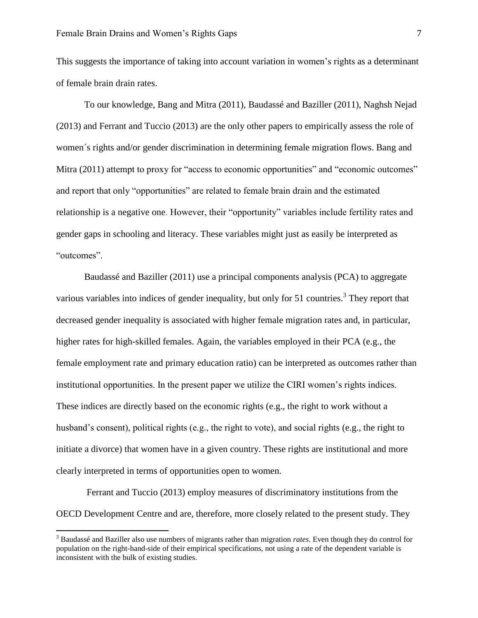This suggests the importance of taking into account variation in women's rights as a determinant of female brain drain rates.

To our knowledge, Bang and Mitra (2011), Baudassé and Baziller (2011), Naghsh Nejad (2013) and Ferrant and Tuccio (2013) are the only other papers to empirically assess the role of women´s rights and/or gender discrimination in determining female migration flows. Bang and Mitra (2011) attempt to proxy for "access to economic opportunities" and "economic outcomes" and report that only "opportunities" are related to female brain drain and the estimated relationship is a negative one. However, their "opportunity" variables include fertility rates and gender gaps in schooling and literacy. These variables might just as easily be interpreted as "outcomes".

Baudassé and Baziller (2011) use a principal components analysis (PCA) to aggregate various variables into indices of gender inequality, but only for 51 countries.<sup>3</sup> They report that decreased gender inequality is associated with higher female migration rates and, in particular, higher rates for high-skilled females. Again, the variables employed in their PCA (e.g., the female employment rate and primary education ratio) can be interpreted as outcomes rather than institutional opportunities. In the present paper we utilize the CIRI women's rights indices. These indices are directly based on the economic rights (e.g., the right to work without a husband's consent), political rights (e.g., the right to vote), and social rights (e.g., the right to initiate a divorce) that women have in a given country. These rights are institutional and more clearly interpreted in terms of opportunities open to women.

Ferrant and Tuccio (2013) employ measures of discriminatory institutions from the OECD Development Centre and are, therefore, more closely related to the present study. They

 $\overline{\phantom{a}}$ 

<sup>3</sup> Baudassé and Baziller also use numbers of migrants rather than migration *rates*. Even though they do control for population on the right-hand-side of their empirical specifications, not using a rate of the dependent variable is inconsistent with the bulk of existing studies.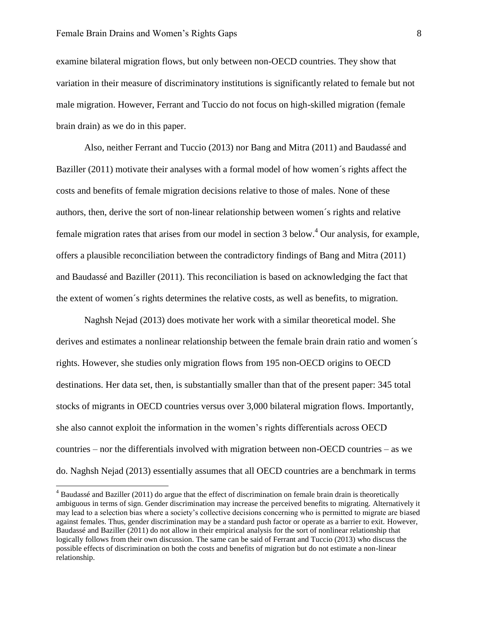$\overline{a}$ 

examine bilateral migration flows, but only between non-OECD countries. They show that variation in their measure of discriminatory institutions is significantly related to female but not male migration. However, Ferrant and Tuccio do not focus on high-skilled migration (female brain drain) as we do in this paper.

Also, neither Ferrant and Tuccio (2013) nor Bang and Mitra (2011) and Baudassé and Baziller (2011) motivate their analyses with a formal model of how women´s rights affect the costs and benefits of female migration decisions relative to those of males. None of these authors, then, derive the sort of non-linear relationship between women´s rights and relative female migration rates that arises from our model in section 3 below.<sup>4</sup> Our analysis, for example, offers a plausible reconciliation between the contradictory findings of Bang and Mitra (2011) and Baudassé and Baziller (2011). This reconciliation is based on acknowledging the fact that the extent of women´s rights determines the relative costs, as well as benefits, to migration.

Naghsh Nejad (2013) does motivate her work with a similar theoretical model. She derives and estimates a nonlinear relationship between the female brain drain ratio and women´s rights. However, she studies only migration flows from 195 non-OECD origins to OECD destinations. Her data set, then, is substantially smaller than that of the present paper: 345 total stocks of migrants in OECD countries versus over 3,000 bilateral migration flows. Importantly, she also cannot exploit the information in the women's rights differentials across OECD countries – nor the differentials involved with migration between non-OECD countries – as we do. Naghsh Nejad (2013) essentially assumes that all OECD countries are a benchmark in terms

<sup>&</sup>lt;sup>4</sup> Baudassé and Baziller (2011) do argue that the effect of discrimination on female brain drain is theoretically ambiguous in terms of sign. Gender discrimination may increase the perceived benefits to migrating. Alternatively it may lead to a selection bias where a society's collective decisions concerning who is permitted to migrate are biased against females. Thus, gender discrimination may be a standard push factor or operate as a barrier to exit. However, Baudassé and Baziller (2011) do not allow in their empirical analysis for the sort of nonlinear relationship that logically follows from their own discussion. The same can be said of Ferrant and Tuccio (2013) who discuss the possible effects of discrimination on both the costs and benefits of migration but do not estimate a non-linear relationship.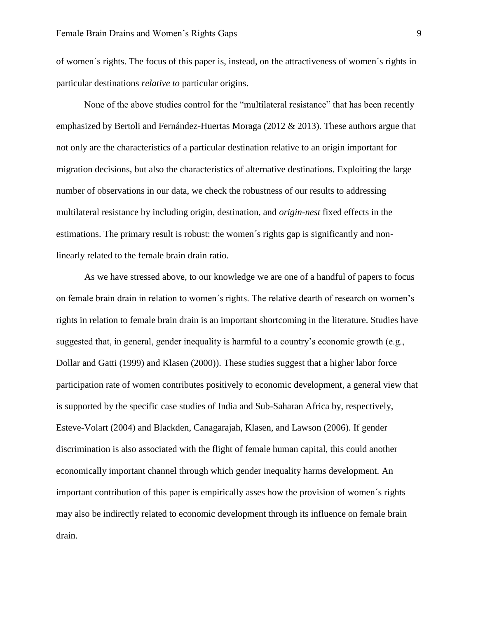of women´s rights. The focus of this paper is, instead, on the attractiveness of women´s rights in particular destinations *relative to* particular origins.

None of the above studies control for the "multilateral resistance" that has been recently emphasized by Bertoli and Fernández-Huertas Moraga (2012 & 2013). These authors argue that not only are the characteristics of a particular destination relative to an origin important for migration decisions, but also the characteristics of alternative destinations. Exploiting the large number of observations in our data, we check the robustness of our results to addressing multilateral resistance by including origin, destination, and *origin-nest* fixed effects in the estimations. The primary result is robust: the women´s rights gap is significantly and nonlinearly related to the female brain drain ratio.

As we have stressed above, to our knowledge we are one of a handful of papers to focus on female brain drain in relation to women´s rights. The relative dearth of research on women's rights in relation to female brain drain is an important shortcoming in the literature. Studies have suggested that, in general, gender inequality is harmful to a country's economic growth (e.g., Dollar and Gatti (1999) and Klasen (2000)). These studies suggest that a higher labor force participation rate of women contributes positively to economic development, a general view that is supported by the specific case studies of India and Sub-Saharan Africa by, respectively, Esteve-Volart (2004) and Blackden, Canagarajah, Klasen, and Lawson (2006). If gender discrimination is also associated with the flight of female human capital, this could another economically important channel through which gender inequality harms development. An important contribution of this paper is empirically asses how the provision of women´s rights may also be indirectly related to economic development through its influence on female brain drain.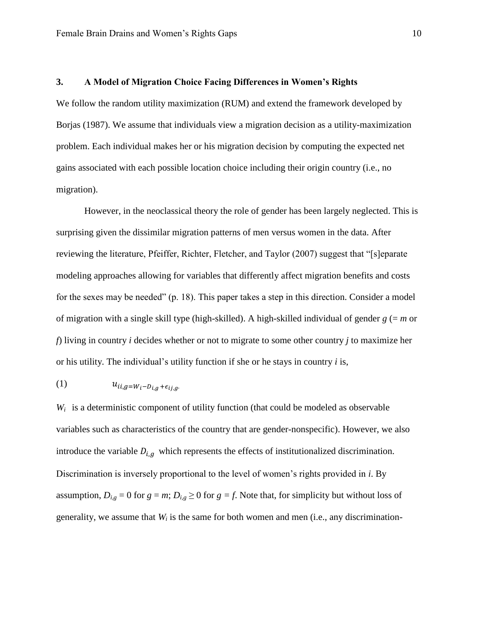#### **3. A Model of Migration Choice Facing Differences in Women's Rights**

We follow the random utility maximization (RUM) and extend the framework developed by Borjas (1987). We assume that individuals view a migration decision as a utility-maximization problem. Each individual makes her or his migration decision by computing the expected net gains associated with each possible location choice including their origin country (i.e., no migration).

However, in the neoclassical theory the role of gender has been largely neglected. This is surprising given the dissimilar migration patterns of men versus women in the data. After reviewing the literature, Pfeiffer, Richter, Fletcher, and Taylor (2007) suggest that "[s]eparate modeling approaches allowing for variables that differently affect migration benefits and costs for the sexes may be needed" (p. 18). This paper takes a step in this direction. Consider a model of migration with a single skill type (high-skilled). A high-skilled individual of gender  $g (= m$  or *f*) living in country *i* decides whether or not to migrate to some other country *j* to maximize her or his utility. The individual's utility function if she or he stays in country *i* is,

### (1)  $u_{ii,g=W_i-D_{i,q}+\epsilon_{ii,q}}$

 $W_i$  is a deterministic component of utility function (that could be modeled as observable variables such as characteristics of the country that are gender-nonspecific). However, we also introduce the variable  $D_{i,q}$  which represents the effects of institutionalized discrimination. Discrimination is inversely proportional to the level of women's rights provided in *i*. By assumption,  $D_{i,g} = 0$  for  $g = m$ ;  $D_{i,g} \ge 0$  for  $g = f$ . Note that, for simplicity but without loss of generality, we assume that *W<sup>i</sup>* is the same for both women and men (i.e., any discrimination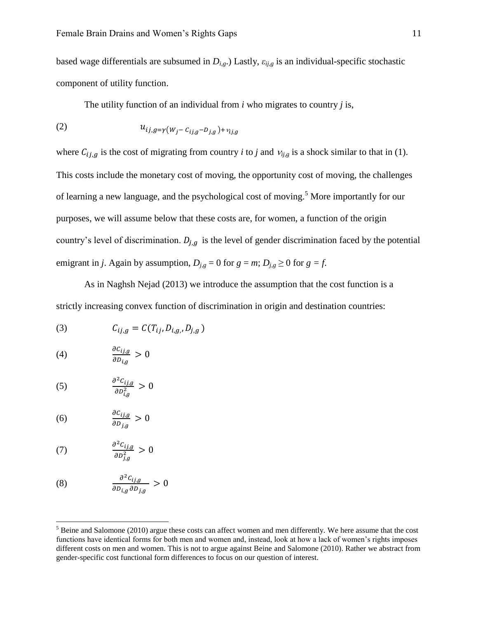based wage differentials are subsumed in  $D_{i,g}$ .) Lastly,  $\varepsilon_{i,j,g}$  is an individual-specific stochastic component of utility function.

The utility function of an individual from *i* who migrates to country *j* is,

(2) 
$$
u_{ij,g=\gamma(W_j - C_{ij,g} - D_{j,g}) + v_{ij,g}}
$$

where  $C_{i,j,q}$  is the cost of migrating from country *i* to *j* and  $v_{i,j,q}$  is a shock similar to that in (1). This costs include the monetary cost of moving, the opportunity cost of moving, the challenges of learning a new language, and the psychological cost of moving.<sup>5</sup> More importantly for our purposes, we will assume below that these costs are, for women, a function of the origin country's level of discrimination.  $D_{i,q}$  is the level of gender discrimination faced by the potential emigrant in *j*. Again by assumption,  $D_{j,g} = 0$  for  $g = m$ ;  $D_{j,g} \ge 0$  for  $g = f$ .

As in Naghsh Nejad (2013) we introduce the assumption that the cost function is a strictly increasing convex function of discrimination in origin and destination countries:

(3) 
$$
C_{ij,g} = C(T_{ij}, D_{i,g}, D_{j,g})
$$

$$
(4) \qquad \qquad \frac{\partial c_{ij,g}}{\partial D_{i,g}} > 0
$$

$$
(5) \qquad \qquad \frac{\partial^2 c_{ij,g}}{\partial D_{i,g}^2} > 0
$$

$$
(6) \qquad \qquad \frac{\partial c_{ij,g}}{\partial D_{j,g}} > 0
$$

$$
(7) \qquad \qquad \frac{\partial^2 c_{ij,g}}{\partial D_{j,g}^2} > 0
$$

 $\overline{\phantom{a}}$ 

(8) 
$$
\frac{\partial^2 C_{ij,g}}{\partial D_{i,g} \partial D_{j,g}} > 0
$$

 $<sup>5</sup>$  Beine and Salomone (2010) argue these costs can affect women and men differently. We here assume that the cost</sup> functions have identical forms for both men and women and, instead, look at how a lack of women's rights imposes different costs on men and women. This is not to argue against Beine and Salomone (2010). Rather we abstract from gender-specific cost functional form differences to focus on our question of interest.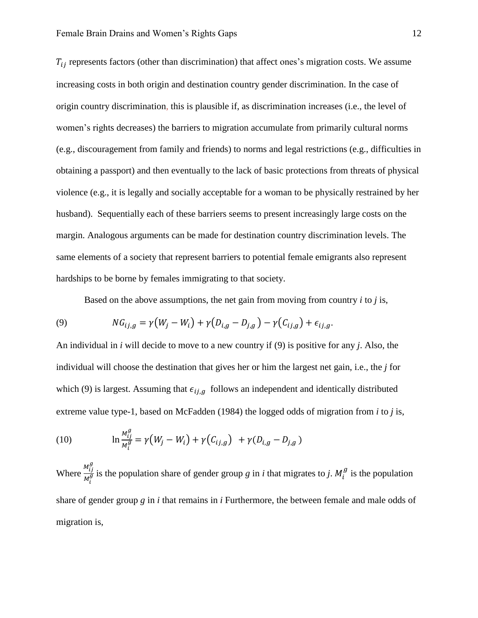$T_{ij}$  represents factors (other than discrimination) that affect ones's migration costs. We assume increasing costs in both origin and destination country gender discrimination. In the case of origin country discrimination, this is plausible if, as discrimination increases (i.e., the level of women's rights decreases) the barriers to migration accumulate from primarily cultural norms (e.g., discouragement from family and friends) to norms and legal restrictions (e.g., difficulties in obtaining a passport) and then eventually to the lack of basic protections from threats of physical violence (e.g., it is legally and socially acceptable for a woman to be physically restrained by her husband). Sequentially each of these barriers seems to present increasingly large costs on the margin. Analogous arguments can be made for destination country discrimination levels. The same elements of a society that represent barriers to potential female emigrants also represent hardships to be borne by females immigrating to that society.

Based on the above assumptions, the net gain from moving from country *i* to *j* is,

(9) 
$$
NG_{ij,g} = \gamma (W_j - W_i) + \gamma (D_{i,g} - D_{j,g}) - \gamma (C_{ij,g}) + \epsilon_{ij,g}.
$$

An individual in *i* will decide to move to a new country if (9) is positive for any *j*. Also, the individual will choose the destination that gives her or him the largest net gain, i.e., the *j* for which (9) is largest. Assuming that  $\epsilon_{ij,g}$  follows an independent and identically distributed extreme value type-1, based on McFadden (1984) the logged odds of migration from *i* to *j* is,

(10) 
$$
\ln \frac{M_{ij}^g}{M_i^g} = \gamma (W_j - W_i) + \gamma (C_{ij,g}) + \gamma (D_{i,g} - D_{j,g})
$$

Where  $\frac{M_{ij}^g}{\mu_g^g}$  $\frac{M_{ij}}{M_i^g}$  is the population share of gender group *g* in *i* that migrates to *j*.  $M_i^g$  is the population share of gender group *g* in *i* that remains in *i* Furthermore, the between female and male odds of migration is,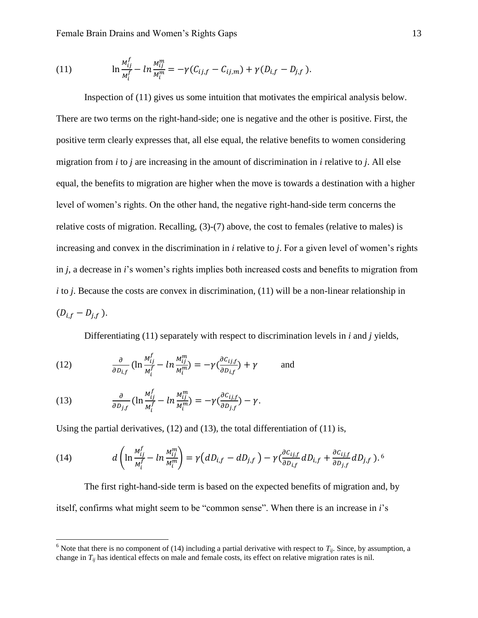Female Brain Drains and Women's Rights Gaps 13

(11) 
$$
\ln \frac{M_{ij}^f}{M_i^f} - \ln \frac{M_{ij}^m}{M_i^m} = -\gamma (C_{ij,f} - C_{ij,m}) + \gamma (D_{i,f} - D_{j,f}).
$$

Inspection of (11) gives us some intuition that motivates the empirical analysis below. There are two terms on the right-hand-side; one is negative and the other is positive. First, the positive term clearly expresses that, all else equal, the relative benefits to women considering migration from *i* to *j* are increasing in the amount of discrimination in *i* relative to *j*. All else equal, the benefits to migration are higher when the move is towards a destination with a higher level of women's rights. On the other hand, the negative right-hand-side term concerns the relative costs of migration. Recalling, (3)-(7) above, the cost to females (relative to males) is increasing and convex in the discrimination in *i* relative to *j*. For a given level of women's rights in *j*, a decrease in *i*'s women's rights implies both increased costs and benefits to migration from *i* to *j*. Because the costs are convex in discrimination, (11) will be a non-linear relationship in  $(D_{i,f} - D_{i,f})$ .

Differentiating (11) separately with respect to discrimination levels in *i* and *j* yields,

(12) 
$$
\frac{\partial}{\partial D_{i,f}} \left( \ln \frac{M_{ij}^f}{M_i^f} - \ln \frac{M_{ij}^m}{M_i^m} \right) = -\gamma \left( \frac{\partial c_{i,j,f}}{\partial D_{i,f}} \right) + \gamma \quad \text{and}
$$

(13) 
$$
\frac{\partial}{\partial D_{j,f}} \left( \ln \frac{M_{ij}^f}{M_i^f} - \ln \frac{M_{ij}^m}{M_i^m} \right) = -\gamma \left( \frac{\partial C_{ij,f}}{\partial D_{j,f}} \right) - \gamma.
$$

 $\overline{\phantom{a}}$ 

Using the partial derivatives,  $(12)$  and  $(13)$ , the total differentiation of  $(11)$  is,

(14) 
$$
d\left(\ln \frac{M_{ij}^f}{M_i^f} - \ln \frac{M_{ij}^m}{M_i^m}\right) = \gamma \left(dD_{i,f} - dD_{j,f}\right) - \gamma \left(\frac{\partial c_{ij,f}}{\partial D_{i,f}} dD_{i,f} + \frac{\partial c_{ij,f}}{\partial D_{j,f}} dD_{j,f}\right).
$$

The first right-hand-side term is based on the expected benefits of migration and, by itself, confirms what might seem to be "common sense". When there is an increase in *i*'s

<sup>&</sup>lt;sup>6</sup> Note that there is no component of (14) including a partial derivative with respect to  $T_{ij}$ . Since, by assumption, a change in  $T_{ij}$  has identical effects on male and female costs, its effect on relative migration rates is nil.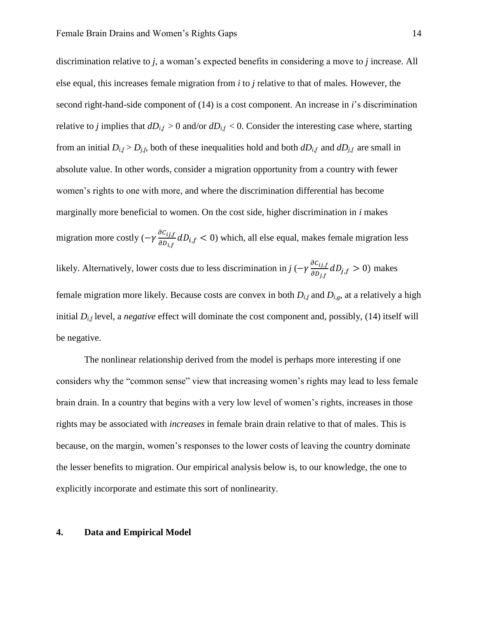discrimination relative to *j*, a woman's expected benefits in considering a move to *j* increase. All else equal, this increases female migration from *i* to *j* relative to that of males. However, the second right-hand-side component of (14) is a cost component. An increase in *i*'s discrimination relative to *j* implies that  $dD_{i,f} > 0$  and/or  $dD_{i,f} < 0$ . Consider the interesting case where, starting from an initial  $D_{i,f} > D_{j,f}$ , both of these inequalities hold and both  $dD_{i,f}$  and  $dD_{j,f}$  are small in absolute value. In other words, consider a migration opportunity from a country with fewer women's rights to one with more, and where the discrimination differential has become marginally more beneficial to women. On the cost side, higher discrimination in *i* makes migration more costly  $(-\gamma \frac{\partial}{\partial \gamma})$  $\frac{\partial c_{ij,t}}{\partial p_{i,t}}$  dD<sub>i,f</sub> < 0) which, all else equal, makes female migration less likely. Alternatively, lower costs due to less discrimination in *j* ( $-\gamma \frac{\partial}{\partial x}$  $\frac{\partial c_{ij,f}}{\partial D_{i,f}}dD_{j,f} > 0$ ) makes female migration more likely. Because costs are convex in both  $D_{i,f}$  and  $D_{i,g}$ , at a relatively a high initial *Di,f* level, a *negative* effect will dominate the cost component and, possibly, (14) itself will be negative.

The nonlinear relationship derived from the model is perhaps more interesting if one considers why the "common sense" view that increasing women's rights may lead to less female brain drain. In a country that begins with a very low level of women's rights, increases in those rights may be associated with *increases* in female brain drain relative to that of males. This is because, on the margin, women's responses to the lower costs of leaving the country dominate the lesser benefits to migration. Our empirical analysis below is, to our knowledge, the one to explicitly incorporate and estimate this sort of nonlinearity.

#### **4. Data and Empirical Model**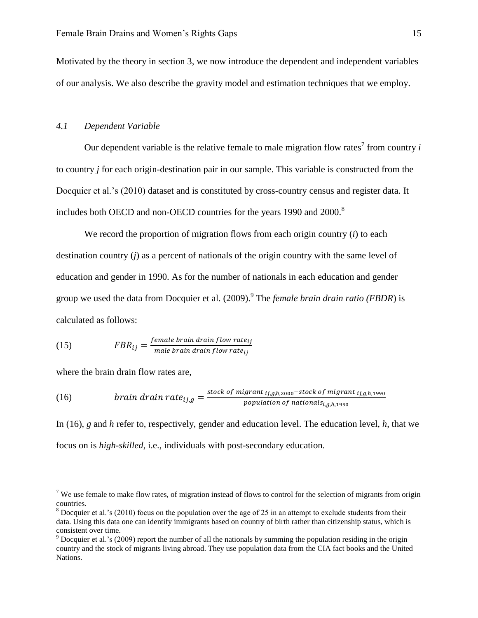Motivated by the theory in section 3, we now introduce the dependent and independent variables of our analysis. We also describe the gravity model and estimation techniques that we employ.

#### *4.1 Dependent Variable*

Our dependent variable is the relative female to male migration flow rates<sup>7</sup> from country  $i$ to country *j* for each origin-destination pair in our sample. This variable is constructed from the Docquier et al.'s (2010) dataset and is constituted by cross-country census and register data. It includes both OECD and non-OECD countries for the years 1990 and 2000.<sup>8</sup>

We record the proportion of migration flows from each origin country (*i*) to each destination country (*j*) as a percent of nationals of the origin country with the same level of education and gender in 1990. As for the number of nationals in each education and gender group we used the data from Docquier et al. (2009). <sup>9</sup> The *female brain drain ratio (FBDR)* is calculated as follows:

(15) 
$$
FBR_{ij} = \frac{female \, brain \, drain \, flow \, rate_{ij}}{male \, brain \, drain \, flow \, rate_{ij}}
$$

where the brain drain flow rates are,

 $\overline{a}$ 

(16) 
$$
brain\,d\,rain\,rate_{ij,g} = \frac{stock\,of\,migrant\,_{ij,g,h,2000}-stock\,of\,migrant\,_{ij,g,h,1990}}{population\,of\,national\,_{i,g,h,1990}}
$$

In (16), *g* and *h* refer to, respectively, gender and education level. The education level, *h*, that we focus on is *high-skilled*, i.e., individuals with post-secondary education.

<sup>&</sup>lt;sup>7</sup> We use female to make flow rates, of migration instead of flows to control for the selection of migrants from origin countries.

<sup>&</sup>lt;sup>8</sup> Docquier et al.'s (2010) focus on the population over the age of 25 in an attempt to exclude students from their data. Using this data one can identify immigrants based on country of birth rather than citizenship status, which is consistent over time.

 $9$  Docquier et al.'s (2009) report the number of all the nationals by summing the population residing in the origin country and the stock of migrants living abroad. They use population data from the CIA fact books and the United Nations.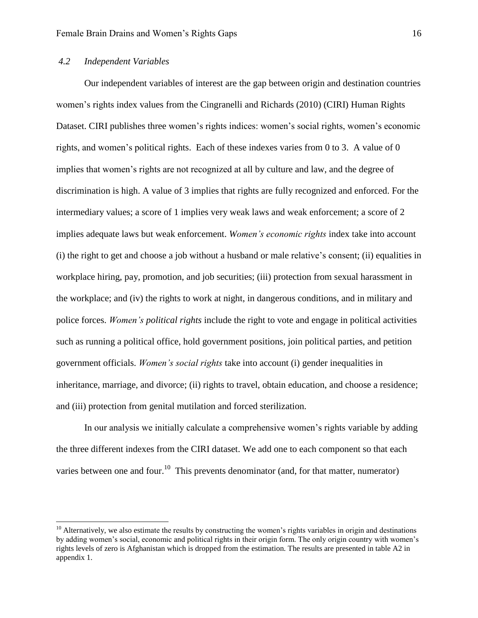#### *4.2 Independent Variables*

 $\overline{\phantom{a}}$ 

Our independent variables of interest are the gap between origin and destination countries women's rights index values from the Cingranelli and Richards (2010) (CIRI) Human Rights Dataset. CIRI publishes three women's rights indices: women's social rights, women's economic rights, and women's political rights. Each of these indexes varies from 0 to 3. A value of 0 implies that women's rights are not recognized at all by culture and law, and the degree of discrimination is high. A value of 3 implies that rights are fully recognized and enforced. For the intermediary values; a score of 1 implies very weak laws and weak enforcement; a score of 2 implies adequate laws but weak enforcement. *Women's economic rights* index take into account (i) the right to get and choose a job without a husband or male relative's consent; (ii) equalities in workplace hiring, pay, promotion, and job securities; (iii) protection from sexual harassment in the workplace; and (iv) the rights to work at night, in dangerous conditions, and in military and police forces. *Women's political rights* include the right to vote and engage in political activities such as running a political office, hold government positions, join political parties, and petition government officials. *Women's social rights* take into account (i) gender inequalities in inheritance, marriage, and divorce; (ii) rights to travel, obtain education, and choose a residence; and (iii) protection from genital mutilation and forced sterilization.

In our analysis we initially calculate a comprehensive women's rights variable by adding the three different indexes from the CIRI dataset. We add one to each component so that each varies between one and four.<sup>10</sup> This prevents denominator (and, for that matter, numerator)

 $10$  Alternatively, we also estimate the results by constructing the women's rights variables in origin and destinations by adding women's social, economic and political rights in their origin form. The only origin country with women's rights levels of zero is Afghanistan which is dropped from the estimation. The results are presented in table A2 in appendix 1.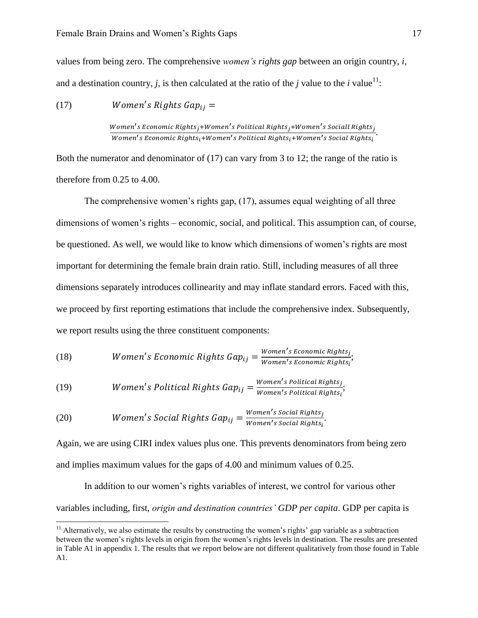values from being zero. The comprehensive *women's rights gap* between an origin country, *i*, and a destination country, *j*, is then calculated at the ratio of the *j* value to the *i* value<sup>11</sup>:

(17)  $\overline{s}$ 

> Women's Economic Rights<sub>j</sub>+Women's Political Rights<sub>j</sub>+Women's Sociall Rights<sub>j</sub>.<br>Wamania Fesasania Bishta Alian ania Belitical Bishta Alian ania Social Bishta. Women's Economic Rights<sub>i</sub>+Women's Political Rights<sub>i</sub>+Women's Social Rights<sub>i</sub>

Both the numerator and denominator of (17) can vary from 3 to 12; the range of the ratio is therefore from 0.25 to 4.00.

The comprehensive women's rights gap, (17), assumes equal weighting of all three dimensions of women's rights – economic, social, and political. This assumption can, of course, be questioned. As well, we would like to know which dimensions of women's rights are most important for determining the female brain drain ratio. Still, including measures of all three dimensions separately introduces collinearity and may inflate standard errors. Faced with this, we proceed by first reporting estimations that include the comprehensive index. Subsequently, we report results using the three constituent components:

(18) *Women's Economic Rights Gap*<sub>ij</sub> = 
$$
\frac{Women's Economic Rights_i}{Women's Economic Rights_i}
$$

(19) *Women's Political Rights Gap*<sub>ij</sub> = 
$$
\frac{Women's Political Rights_i}{Women's Political Rights_i}
$$

(20) *Women's Social Rights Gap*<sub>ij</sub> = 
$$
\frac{Women's Social Rights_j}{Women's Social Rights_i}
$$
.

 $\overline{\phantom{a}}$ 

Again, we are using CIRI index values plus one. This prevents denominators from being zero and implies maximum values for the gaps of 4.00 and minimum values of 0.25.

In addition to our women's rights variables of interest, we control for various other variables including, first, *origin and destination countries' GDP per capita*. GDP per capita is

 $11$  Alternatively, we also estimate the results by constructing the women's rights' gap variable as a subtraction between the women's rights levels in origin from the women's rights levels in destination. The results are presented in Table A1 in appendix 1. The results that we report below are not different qualitatively from those found in Table A1.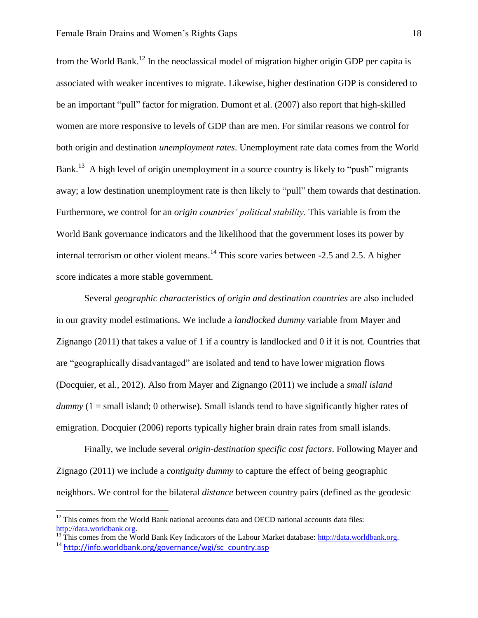from the World Bank.<sup>12</sup> In the neoclassical model of migration higher origin GDP per capita is associated with weaker incentives to migrate. Likewise, higher destination GDP is considered to be an important "pull" factor for migration. Dumont et al. (2007) also report that high-skilled women are more responsive to levels of GDP than are men. For similar reasons we control for both origin and destination *unemployment rates*. Unemployment rate data comes from the World Bank.<sup>13</sup> A high level of origin unemployment in a source country is likely to "push" migrants away; a low destination unemployment rate is then likely to "pull" them towards that destination. Furthermore, we control for an *origin countries' political stability.* This variable is from the World Bank governance indicators and the likelihood that the government loses its power by internal terrorism or other violent means.<sup>14</sup> This score varies between -2.5 and 2.5. A higher score indicates a more stable government.

Several *geographic characteristics of origin and destination countries* are also included in our gravity model estimations. We include a *landlocked dummy* variable from Mayer and Zignango (2011) that takes a value of 1 if a country is landlocked and 0 if it is not. Countries that are "geographically disadvantaged" are isolated and tend to have lower migration flows (Docquier, et al., 2012). Also from Mayer and Zignango (2011) we include a *small island dummy* (1 = small island; 0 otherwise). Small islands tend to have significantly higher rates of emigration. Docquier (2006) reports typically higher brain drain rates from small islands.

Finally, we include several *origin-destination specific cost factors*. Following Mayer and Zignago (2011) we include a *contiguity dummy* to capture the effect of being geographic neighbors. We control for the bilateral *distance* between country pairs (defined as the geodesic

 $\overline{\phantom{a}}$ 

 $12$ <sup>12</sup> This comes from the World Bank national accounts data and OECD national accounts data files: [http://data.worldbank.org.](http://data.worldbank.org/)

<sup>&</sup>lt;sup>13</sup> This comes from the World Bank Key Indicators of the Labour Market database: [http://data.worldbank.org.](http://data.worldbank.org/)  $14$  [http://info.worldbank.org/governance/wgi/sc\\_country.asp](http://info.worldbank.org/governance/wgi/sc_country.asp)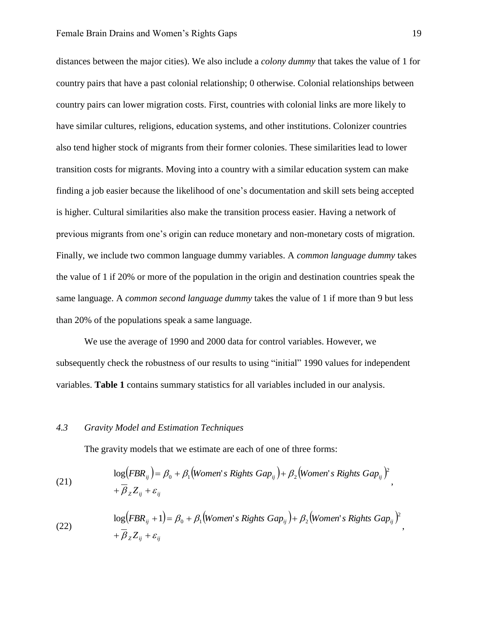distances between the major cities). We also include a *colony dummy* that takes the value of 1 for country pairs that have a past colonial relationship; 0 otherwise. Colonial relationships between country pairs can lower migration costs. First, countries with colonial links are more likely to have similar cultures, religions, education systems, and other institutions. Colonizer countries also tend higher stock of migrants from their former colonies. These similarities lead to lower transition costs for migrants. Moving into a country with a similar education system can make finding a job easier because the likelihood of one's documentation and skill sets being accepted is higher. Cultural similarities also make the transition process easier. Having a network of previous migrants from one's origin can reduce monetary and non-monetary costs of migration. Finally, we include two common language dummy variables. A *common language dummy* takes the value of 1 if 20% or more of the population in the origin and destination countries speak the same language. A *common second language dummy* takes the value of 1 if more than 9 but less than 20% of the populations speak a same language.

We use the average of 1990 and 2000 data for control variables. However, we subsequently check the robustness of our results to using "initial" 1990 values for independent variables. **Table 1** contains summary statistics for all variables included in our analysis.

#### *4.3 Gravity Model and Estimation Techniques*

The gravity models that we estimate are each of one of three forms:

(21) 
$$
\log(FBR_{ij}) = \beta_0 + \beta_1 \left( \text{Women's Rights } Gap_{ij} \right) + \beta_2 \left( \text{Women's Rights }Gap_{ij} \right)^2 + \overline{\beta}_Z Z_{ij} + \varepsilon_{ij}
$$

(22) 
$$
\log\left(FBR_{ij}+1\right)=\beta_0+\beta_1\left(\text{Women's Rights Gap}_{ij}\right)+\beta_2\left(\text{Women's Rights Gap}_{ij}\right)^2,+\overline{\beta}_Z Z_{ij}+\varepsilon_{ij}
$$

,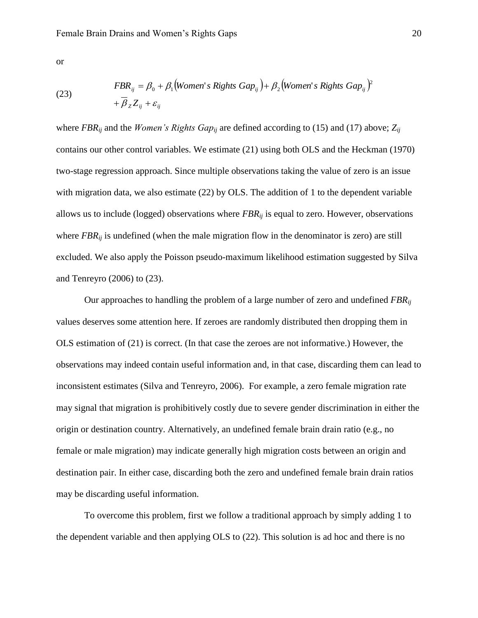or

(23) 
$$
FBR_{ij} = \beta_0 + \beta_1 \left( \text{Women's Rights Gap}_{ij} \right) + \beta_2 \left( \text{Women's Rights Gap}_{ij} \right)^2 + \overline{\beta}_Z Z_{ij} + \varepsilon_{ij}
$$

where *FBR*<sub>*ij*</sub> and the *Women's Rights Gap*<sub>*ij*</sub> are defined according to (15) and (17) above;  $Z_{ij}$ contains our other control variables. We estimate (21) using both OLS and the Heckman (1970) two-stage regression approach. Since multiple observations taking the value of zero is an issue with migration data, we also estimate (22) by OLS. The addition of 1 to the dependent variable allows us to include (logged) observations where *FBRij* is equal to zero. However, observations where *FBR*<sub>*ij*</sub> is undefined (when the male migration flow in the denominator is zero) are still excluded. We also apply the Poisson pseudo-maximum likelihood estimation suggested by Silva and Tenreyro (2006) to (23).

Our approaches to handling the problem of a large number of zero and undefined *FBRij* values deserves some attention here. If zeroes are randomly distributed then dropping them in OLS estimation of (21) is correct. (In that case the zeroes are not informative.) However, the observations may indeed contain useful information and, in that case, discarding them can lead to inconsistent estimates (Silva and Tenreyro, 2006). For example, a zero female migration rate may signal that migration is prohibitively costly due to severe gender discrimination in either the origin or destination country. Alternatively, an undefined female brain drain ratio (e.g., no female or male migration) may indicate generally high migration costs between an origin and destination pair. In either case, discarding both the zero and undefined female brain drain ratios may be discarding useful information.

To overcome this problem, first we follow a traditional approach by simply adding 1 to the dependent variable and then applying OLS to (22). This solution is ad hoc and there is no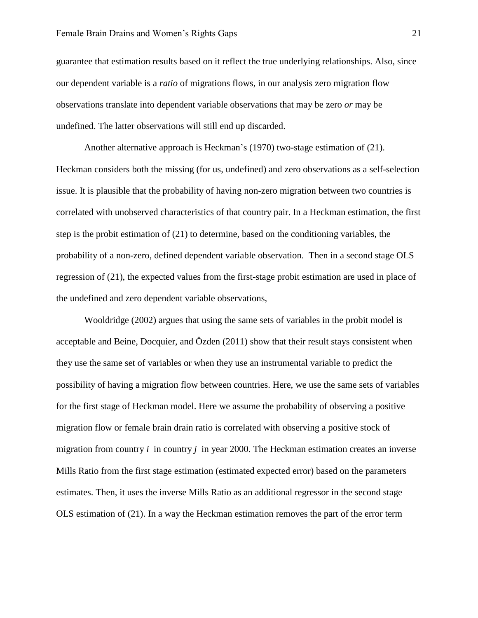guarantee that estimation results based on it reflect the true underlying relationships. Also, since our dependent variable is a *ratio* of migrations flows, in our analysis zero migration flow observations translate into dependent variable observations that may be zero *or* may be undefined. The latter observations will still end up discarded.

Another alternative approach is Heckman's (1970) two-stage estimation of (21). Heckman considers both the missing (for us, undefined) and zero observations as a self-selection issue. It is plausible that the probability of having non-zero migration between two countries is correlated with unobserved characteristics of that country pair. In a Heckman estimation, the first step is the probit estimation of (21) to determine, based on the conditioning variables, the probability of a non-zero, defined dependent variable observation. Then in a second stage OLS regression of (21), the expected values from the first-stage probit estimation are used in place of the undefined and zero dependent variable observations,

Wooldridge (2002) argues that using the same sets of variables in the probit model is acceptable and Beine, Docquier, and Özden (2011) show that their result stays consistent when they use the same set of variables or when they use an instrumental variable to predict the possibility of having a migration flow between countries. Here, we use the same sets of variables for the first stage of Heckman model. Here we assume the probability of observing a positive migration flow or female brain drain ratio is correlated with observing a positive stock of migration from country *i* in country *j* in year 2000. The Heckman estimation creates an inverse Mills Ratio from the first stage estimation (estimated expected error) based on the parameters estimates. Then, it uses the inverse Mills Ratio as an additional regressor in the second stage OLS estimation of (21). In a way the Heckman estimation removes the part of the error term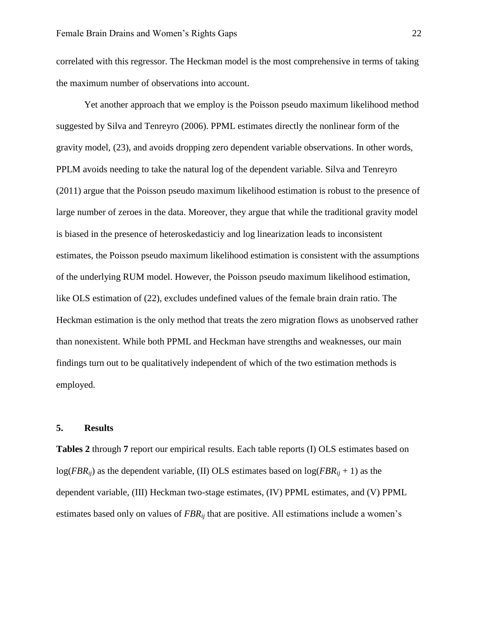correlated with this regressor. The Heckman model is the most comprehensive in terms of taking the maximum number of observations into account.

Yet another approach that we employ is the Poisson pseudo maximum likelihood method suggested by Silva and Tenreyro (2006). PPML estimates directly the nonlinear form of the gravity model, (23), and avoids dropping zero dependent variable observations. In other words, PPLM avoids needing to take the natural log of the dependent variable. Silva and Tenreyro (2011) argue that the Poisson pseudo maximum likelihood estimation is robust to the presence of large number of zeroes in the data. Moreover, they argue that while the traditional gravity model is biased in the presence of heteroskedasticiy and log linearization leads to inconsistent estimates, the Poisson pseudo maximum likelihood estimation is consistent with the assumptions of the underlying RUM model. However, the Poisson pseudo maximum likelihood estimation, like OLS estimation of (22), excludes undefined values of the female brain drain ratio. The Heckman estimation is the only method that treats the zero migration flows as unobserved rather than nonexistent. While both PPML and Heckman have strengths and weaknesses, our main findings turn out to be qualitatively independent of which of the two estimation methods is employed.

#### **5. Results**

**Tables 2** through **7** report our empirical results. Each table reports (I) OLS estimates based on  $log(FBR_{ii})$  as the dependent variable, (II) OLS estimates based on  $log(FBR_{ii} + 1)$  as the dependent variable, (III) Heckman two-stage estimates, (IV) PPML estimates, and (V) PPML estimates based only on values of *FBRij* that are positive. All estimations include a women's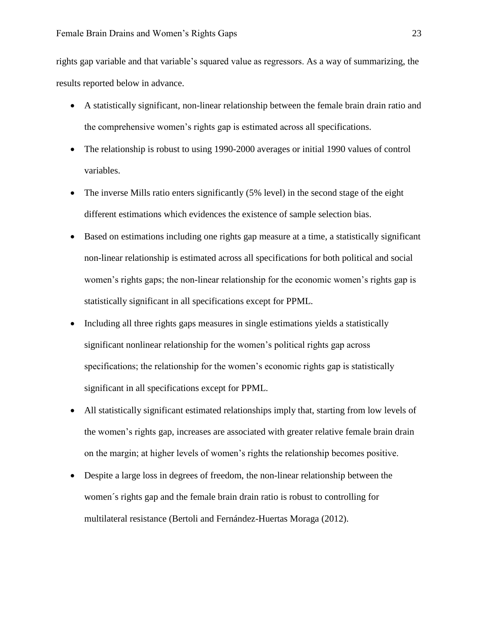rights gap variable and that variable's squared value as regressors. As a way of summarizing, the results reported below in advance.

- A statistically significant, non-linear relationship between the female brain drain ratio and the comprehensive women's rights gap is estimated across all specifications.
- The relationship is robust to using 1990-2000 averages or initial 1990 values of control variables.
- The inverse Mills ratio enters significantly (5% level) in the second stage of the eight different estimations which evidences the existence of sample selection bias.
- Based on estimations including one rights gap measure at a time, a statistically significant non-linear relationship is estimated across all specifications for both political and social women's rights gaps; the non-linear relationship for the economic women's rights gap is statistically significant in all specifications except for PPML.
- Including all three rights gaps measures in single estimations vields a statistically significant nonlinear relationship for the women's political rights gap across specifications; the relationship for the women's economic rights gap is statistically significant in all specifications except for PPML.
- All statistically significant estimated relationships imply that, starting from low levels of the women's rights gap, increases are associated with greater relative female brain drain on the margin; at higher levels of women's rights the relationship becomes positive.
- Despite a large loss in degrees of freedom, the non-linear relationship between the women´s rights gap and the female brain drain ratio is robust to controlling for multilateral resistance (Bertoli and Fernández-Huertas Moraga (2012).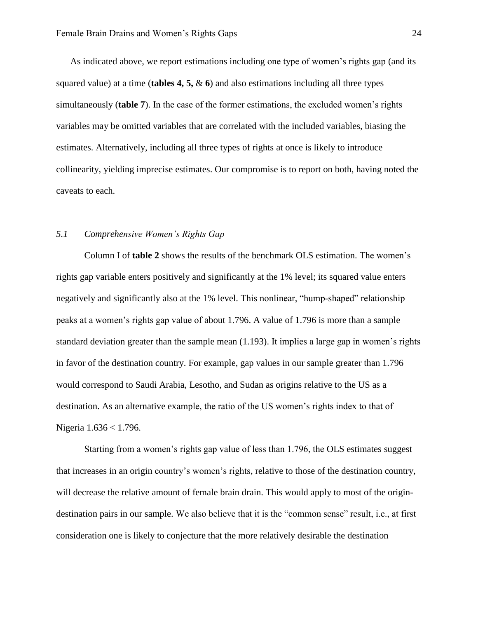As indicated above, we report estimations including one type of women's rights gap (and its squared value) at a time (**tables 4, 5,**  $\&$  **6**) and also estimations including all three types simultaneously (**table 7**). In the case of the former estimations, the excluded women's rights variables may be omitted variables that are correlated with the included variables, biasing the estimates. Alternatively, including all three types of rights at once is likely to introduce collinearity, yielding imprecise estimates. Our compromise is to report on both, having noted the caveats to each.

#### *5.1 Comprehensive Women's Rights Gap*

Column I of **table 2** shows the results of the benchmark OLS estimation. The women's rights gap variable enters positively and significantly at the 1% level; its squared value enters negatively and significantly also at the 1% level. This nonlinear, "hump-shaped" relationship peaks at a women's rights gap value of about 1.796. A value of 1.796 is more than a sample standard deviation greater than the sample mean (1.193). It implies a large gap in women's rights in favor of the destination country. For example, gap values in our sample greater than 1.796 would correspond to Saudi Arabia, Lesotho, and Sudan as origins relative to the US as a destination. As an alternative example, the ratio of the US women's rights index to that of Nigeria 1.636 < 1.796.

Starting from a women's rights gap value of less than 1.796, the OLS estimates suggest that increases in an origin country's women's rights, relative to those of the destination country, will decrease the relative amount of female brain drain. This would apply to most of the origindestination pairs in our sample. We also believe that it is the "common sense" result, i.e., at first consideration one is likely to conjecture that the more relatively desirable the destination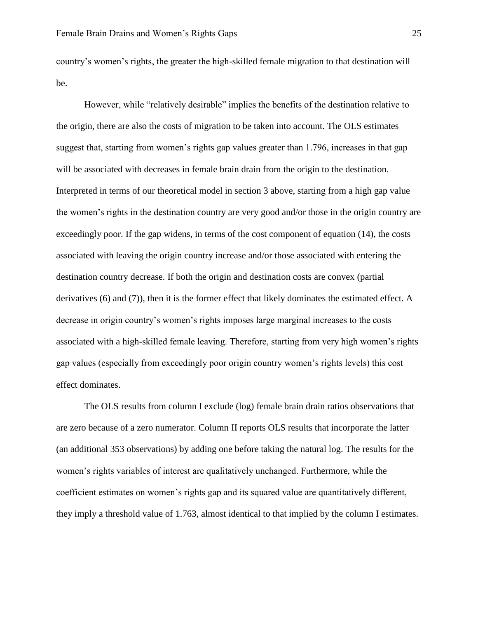country's women's rights, the greater the high-skilled female migration to that destination will be.

However, while "relatively desirable" implies the benefits of the destination relative to the origin, there are also the costs of migration to be taken into account. The OLS estimates suggest that, starting from women's rights gap values greater than 1.796, increases in that gap will be associated with decreases in female brain drain from the origin to the destination. Interpreted in terms of our theoretical model in section 3 above, starting from a high gap value the women's rights in the destination country are very good and/or those in the origin country are exceedingly poor. If the gap widens, in terms of the cost component of equation (14), the costs associated with leaving the origin country increase and/or those associated with entering the destination country decrease. If both the origin and destination costs are convex (partial derivatives (6) and (7)), then it is the former effect that likely dominates the estimated effect. A decrease in origin country's women's rights imposes large marginal increases to the costs associated with a high-skilled female leaving. Therefore, starting from very high women's rights gap values (especially from exceedingly poor origin country women's rights levels) this cost effect dominates.

The OLS results from column I exclude (log) female brain drain ratios observations that are zero because of a zero numerator. Column II reports OLS results that incorporate the latter (an additional 353 observations) by adding one before taking the natural log. The results for the women's rights variables of interest are qualitatively unchanged. Furthermore, while the coefficient estimates on women's rights gap and its squared value are quantitatively different, they imply a threshold value of 1.763, almost identical to that implied by the column I estimates.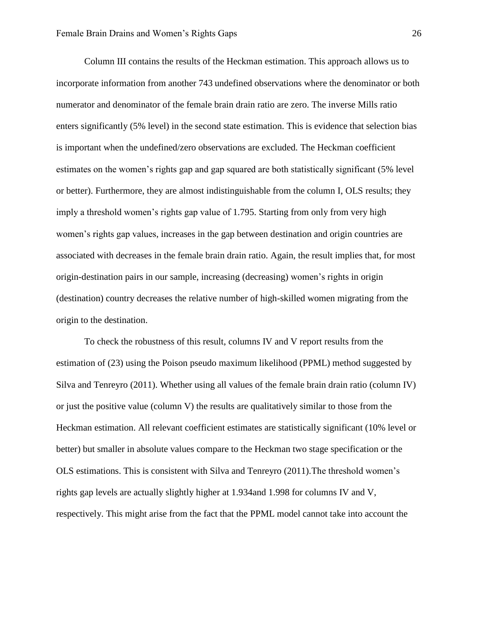Column III contains the results of the Heckman estimation. This approach allows us to incorporate information from another 743 undefined observations where the denominator or both numerator and denominator of the female brain drain ratio are zero. The inverse Mills ratio enters significantly (5% level) in the second state estimation. This is evidence that selection bias is important when the undefined/zero observations are excluded. The Heckman coefficient estimates on the women's rights gap and gap squared are both statistically significant (5% level or better). Furthermore, they are almost indistinguishable from the column I, OLS results; they imply a threshold women's rights gap value of 1.795. Starting from only from very high women's rights gap values, increases in the gap between destination and origin countries are associated with decreases in the female brain drain ratio. Again, the result implies that, for most origin-destination pairs in our sample, increasing (decreasing) women's rights in origin (destination) country decreases the relative number of high-skilled women migrating from the origin to the destination.

To check the robustness of this result, columns IV and V report results from the estimation of (23) using the Poison pseudo maximum likelihood (PPML) method suggested by Silva and Tenreyro (2011). Whether using all values of the female brain drain ratio (column IV) or just the positive value (column V) the results are qualitatively similar to those from the Heckman estimation. All relevant coefficient estimates are statistically significant (10% level or better) but smaller in absolute values compare to the Heckman two stage specification or the OLS estimations. This is consistent with Silva and Tenreyro (2011).The threshold women's rights gap levels are actually slightly higher at 1.934and 1.998 for columns IV and V, respectively. This might arise from the fact that the PPML model cannot take into account the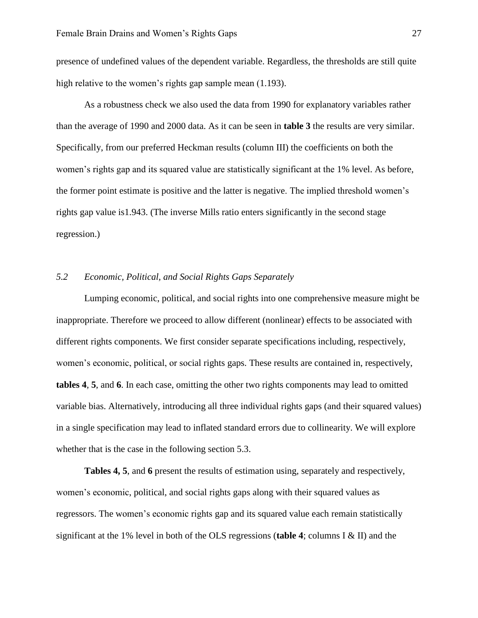presence of undefined values of the dependent variable. Regardless, the thresholds are still quite high relative to the women's rights gap sample mean  $(1.193)$ .

As a robustness check we also used the data from 1990 for explanatory variables rather than the average of 1990 and 2000 data. As it can be seen in **table 3** the results are very similar. Specifically, from our preferred Heckman results (column III) the coefficients on both the women's rights gap and its squared value are statistically significant at the 1% level. As before, the former point estimate is positive and the latter is negative. The implied threshold women's rights gap value is1.943. (The inverse Mills ratio enters significantly in the second stage regression.)

#### *5.2 Economic, Political, and Social Rights Gaps Separately*

Lumping economic, political, and social rights into one comprehensive measure might be inappropriate. Therefore we proceed to allow different (nonlinear) effects to be associated with different rights components. We first consider separate specifications including, respectively, women's economic, political, or social rights gaps. These results are contained in, respectively, **tables 4**, **5**, and **6**. In each case, omitting the other two rights components may lead to omitted variable bias. Alternatively, introducing all three individual rights gaps (and their squared values) in a single specification may lead to inflated standard errors due to collinearity. We will explore whether that is the case in the following section 5.3.

**Tables 4, 5**, and **6** present the results of estimation using, separately and respectively, women's economic, political, and social rights gaps along with their squared values as regressors. The women's economic rights gap and its squared value each remain statistically significant at the 1% level in both of the OLS regressions (**table 4**; columns I & II) and the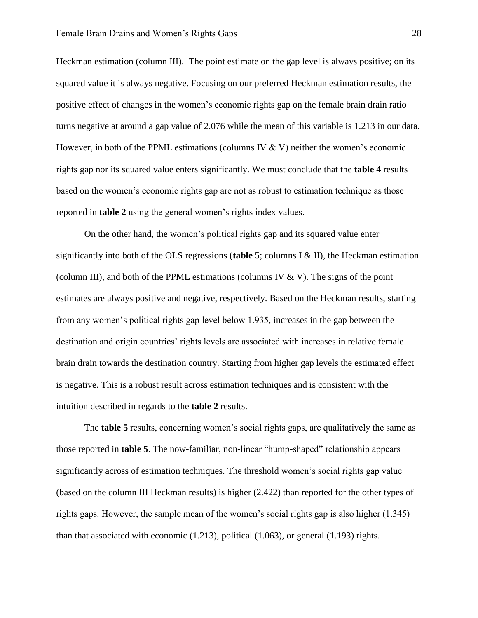Heckman estimation (column III). The point estimate on the gap level is always positive; on its squared value it is always negative. Focusing on our preferred Heckman estimation results, the positive effect of changes in the women's economic rights gap on the female brain drain ratio turns negative at around a gap value of 2.076 while the mean of this variable is 1.213 in our data. However, in both of the PPML estimations (columns IV  $&$  V) neither the women's economic rights gap nor its squared value enters significantly. We must conclude that the **table 4** results based on the women's economic rights gap are not as robust to estimation technique as those reported in **table 2** using the general women's rights index values.

On the other hand, the women's political rights gap and its squared value enter significantly into both of the OLS regressions (**table 5**; columns I & II), the Heckman estimation (column III), and both of the PPML estimations (columns IV  $&$  V). The signs of the point estimates are always positive and negative, respectively. Based on the Heckman results, starting from any women's political rights gap level below 1.935, increases in the gap between the destination and origin countries' rights levels are associated with increases in relative female brain drain towards the destination country. Starting from higher gap levels the estimated effect is negative. This is a robust result across estimation techniques and is consistent with the intuition described in regards to the **table 2** results.

The **table 5** results, concerning women's social rights gaps, are qualitatively the same as those reported in **table 5**. The now-familiar, non-linear "hump-shaped" relationship appears significantly across of estimation techniques. The threshold women's social rights gap value (based on the column III Heckman results) is higher (2.422) than reported for the other types of rights gaps. However, the sample mean of the women's social rights gap is also higher (1.345) than that associated with economic (1.213), political (1.063), or general (1.193) rights.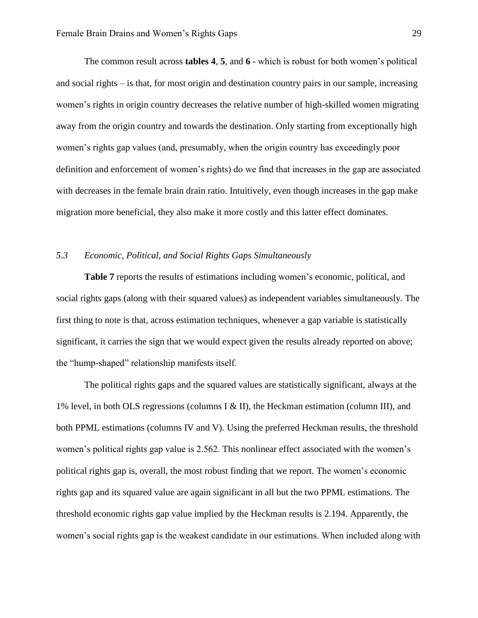The common result across **tables 4**, **5**, and **6** - which is robust for both women's political and social rights – is that, for most origin and destination country pairs in our sample, increasing women's rights in origin country decreases the relative number of high-skilled women migrating away from the origin country and towards the destination. Only starting from exceptionally high women's rights gap values (and, presumably, when the origin country has exceedingly poor definition and enforcement of women's rights) do we find that increases in the gap are associated with decreases in the female brain drain ratio. Intuitively, even though increases in the gap make migration more beneficial, they also make it more costly and this latter effect dominates.

#### *5.3 Economic, Political, and Social Rights Gaps Simultaneously*

**Table 7** reports the results of estimations including women's economic, political, and social rights gaps (along with their squared values) as independent variables simultaneously. The first thing to note is that, across estimation techniques, whenever a gap variable is statistically significant, it carries the sign that we would expect given the results already reported on above; the "hump-shaped" relationship manifests itself.

The political rights gaps and the squared values are statistically significant, always at the 1% level, in both OLS regressions (columns I & II), the Heckman estimation (column III), and both PPML estimations (columns IV and V). Using the preferred Heckman results, the threshold women's political rights gap value is 2.562. This nonlinear effect associated with the women's political rights gap is, overall, the most robust finding that we report. The women's economic rights gap and its squared value are again significant in all but the two PPML estimations. The threshold economic rights gap value implied by the Heckman results is 2.194. Apparently, the women's social rights gap is the weakest candidate in our estimations. When included along with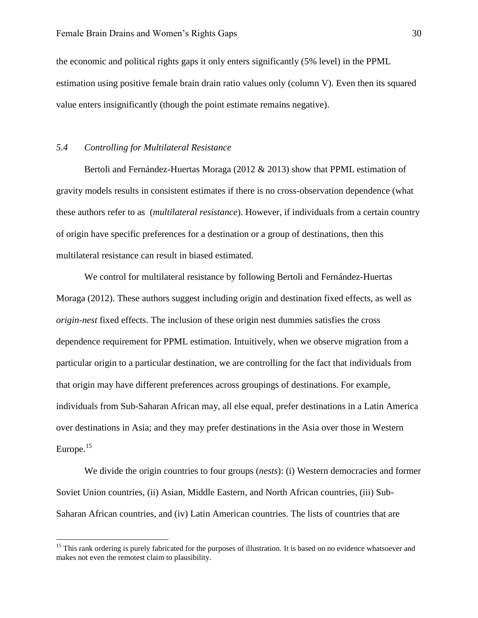the economic and political rights gaps it only enters significantly (5% level) in the PPML estimation using positive female brain drain ratio values only (column V). Even then its squared value enters insignificantly (though the point estimate remains negative).

#### *5.4 Controlling for Multilateral Resistance*

 $\overline{\phantom{a}}$ 

Bertoli and Fernández-Huertas Moraga (2012 & 2013) show that PPML estimation of gravity models results in consistent estimates if there is no cross-observation dependence (what these authors refer to as (*multilateral resistance*). However, if individuals from a certain country of origin have specific preferences for a destination or a group of destinations, then this multilateral resistance can result in biased estimated.

We control for multilateral resistance by following Bertoli and Fernández-Huertas Moraga (2012). These authors suggest including origin and destination fixed effects, as well as *origin-nest* fixed effects. The inclusion of these origin nest dummies satisfies the cross dependence requirement for PPML estimation. Intuitively, when we observe migration from a particular origin to a particular destination, we are controlling for the fact that individuals from that origin may have different preferences across groupings of destinations. For example, individuals from Sub-Saharan African may, all else equal, prefer destinations in a Latin America over destinations in Asia; and they may prefer destinations in the Asia over those in Western Europe. $15$ 

We divide the origin countries to four groups (*nests*): (i) Western democracies and former Soviet Union countries, (ii) Asian, Middle Eastern, and North African countries, (iii) Sub-Saharan African countries, and (iv) Latin American countries. The lists of countries that are

<sup>&</sup>lt;sup>15</sup> This rank ordering is purely fabricated for the purposes of illustration. It is based on no evidence whatsoever and makes not even the remotest claim to plausibility.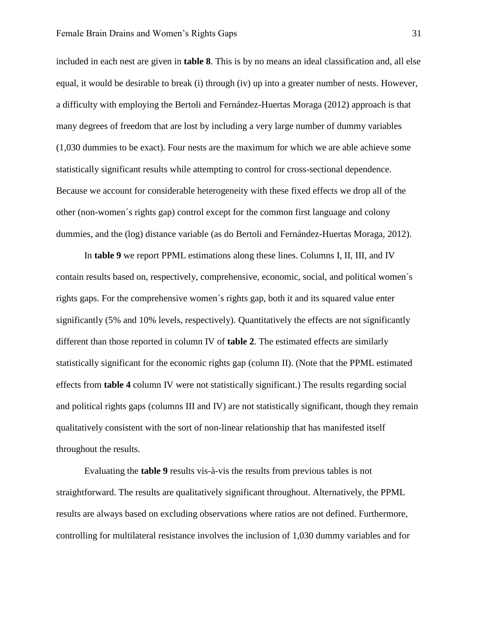included in each nest are given in **table 8**. This is by no means an ideal classification and, all else equal, it would be desirable to break (i) through (iv) up into a greater number of nests. However, a difficulty with employing the Bertoli and Fernández-Huertas Moraga (2012) approach is that many degrees of freedom that are lost by including a very large number of dummy variables (1,030 dummies to be exact). Four nests are the maximum for which we are able achieve some statistically significant results while attempting to control for cross-sectional dependence. Because we account for considerable heterogeneity with these fixed effects we drop all of the other (non-women´s rights gap) control except for the common first language and colony dummies, and the (log) distance variable (as do Bertoli and Fernández-Huertas Moraga, 2012).

In **table 9** we report PPML estimations along these lines. Columns I, II, III, and IV contain results based on, respectively, comprehensive, economic, social, and political women´s rights gaps. For the comprehensive women´s rights gap, both it and its squared value enter significantly (5% and 10% levels, respectively). Quantitatively the effects are not significantly different than those reported in column IV of **table 2**. The estimated effects are similarly statistically significant for the economic rights gap (column II). (Note that the PPML estimated effects from **table 4** column IV were not statistically significant.) The results regarding social and political rights gaps (columns III and IV) are not statistically significant, though they remain qualitatively consistent with the sort of non-linear relationship that has manifested itself throughout the results.

Evaluating the **table 9** results vis-à-vis the results from previous tables is not straightforward. The results are qualitatively significant throughout. Alternatively, the PPML results are always based on excluding observations where ratios are not defined. Furthermore, controlling for multilateral resistance involves the inclusion of 1,030 dummy variables and for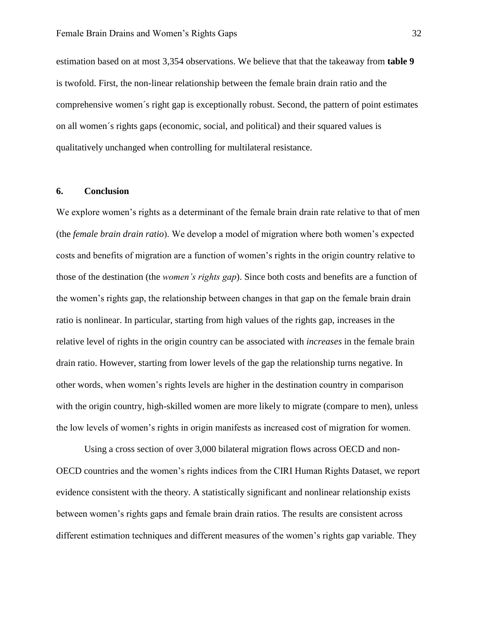estimation based on at most 3,354 observations. We believe that that the takeaway from **table 9** is twofold. First, the non-linear relationship between the female brain drain ratio and the comprehensive women´s right gap is exceptionally robust. Second, the pattern of point estimates on all women´s rights gaps (economic, social, and political) and their squared values is qualitatively unchanged when controlling for multilateral resistance.

#### **6. Conclusion**

We explore women's rights as a determinant of the female brain drain rate relative to that of men (the *female brain drain ratio*). We develop a model of migration where both women's expected costs and benefits of migration are a function of women's rights in the origin country relative to those of the destination (the *women's rights gap*). Since both costs and benefits are a function of the women's rights gap, the relationship between changes in that gap on the female brain drain ratio is nonlinear. In particular, starting from high values of the rights gap, increases in the relative level of rights in the origin country can be associated with *increases* in the female brain drain ratio. However, starting from lower levels of the gap the relationship turns negative. In other words, when women's rights levels are higher in the destination country in comparison with the origin country, high-skilled women are more likely to migrate (compare to men), unless the low levels of women's rights in origin manifests as increased cost of migration for women.

Using a cross section of over 3,000 bilateral migration flows across OECD and non-OECD countries and the women's rights indices from the CIRI Human Rights Dataset, we report evidence consistent with the theory. A statistically significant and nonlinear relationship exists between women's rights gaps and female brain drain ratios. The results are consistent across different estimation techniques and different measures of the women's rights gap variable. They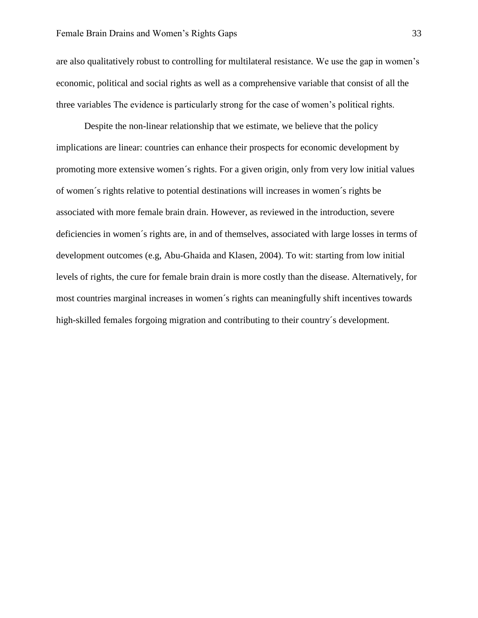are also qualitatively robust to controlling for multilateral resistance. We use the gap in women's economic, political and social rights as well as a comprehensive variable that consist of all the three variables The evidence is particularly strong for the case of women's political rights.

Despite the non-linear relationship that we estimate, we believe that the policy implications are linear: countries can enhance their prospects for economic development by promoting more extensive women´s rights. For a given origin, only from very low initial values of women´s rights relative to potential destinations will increases in women´s rights be associated with more female brain drain. However, as reviewed in the introduction, severe deficiencies in women´s rights are, in and of themselves, associated with large losses in terms of development outcomes (e.g, Abu-Ghaida and Klasen, 2004). To wit: starting from low initial levels of rights, the cure for female brain drain is more costly than the disease. Alternatively, for most countries marginal increases in women´s rights can meaningfully shift incentives towards high-skilled females forgoing migration and contributing to their country´s development.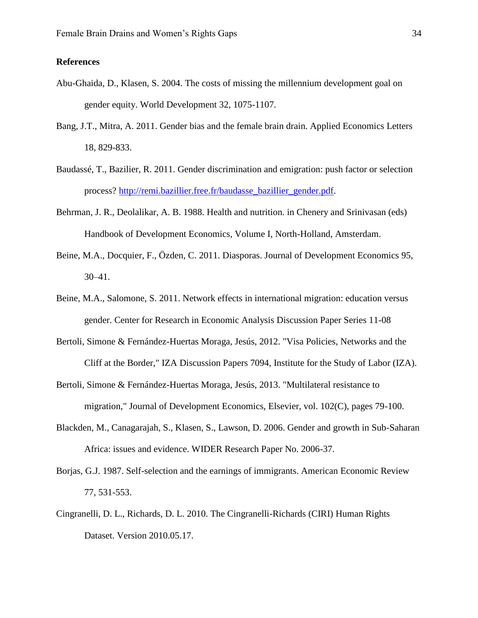#### **References**

- Abu-Ghaida, D., Klasen, S. 2004. The costs of missing the millennium development goal on gender equity. World Development 32, 1075-1107.
- Bang, J.T., Mitra, A. 2011. Gender bias and the female brain drain. Applied Economics Letters 18, 829-833.
- Baudassé, T., Bazilier, R. 2011. Gender discrimination and emigration: push factor or selection process? [http://remi.bazillier.free.fr/baudasse\\_bazillier\\_gender.pdf.](http://remi.bazillier.free.fr/baudasse_bazillier_gender.pdf)
- Behrman, J. R., Deolalikar, A. B. 1988. Health and nutrition. in Chenery and Srinivasan (eds) Handbook of Development Economics, Volume I, North-Holland, Amsterdam.
- Beine, M.A., Docquier, F., Özden, C. 2011. Diasporas. Journal of Development Economics 95, 30–41.
- Beine, M.A., Salomone, S. 2011. Network effects in international migration: education versus gender. Center for Research in Economic Analysis Discussion Paper Series 11-08
- Bertoli, Simone & Fernández-Huertas Moraga, Jesús, 2012. "Visa Policies, Networks and the Cliff at the Border," IZA Discussion Papers 7094, Institute for the Study of Labor (IZA).
- Bertoli, Simone & Fernández-Huertas Moraga, Jesús, 2013. "Multilateral resistance to migration," Journal of Development Economics, Elsevier, vol. 102(C), pages 79-100.
- Blackden, M., Canagarajah, S., Klasen, S., Lawson, D. 2006. Gender and growth in Sub-Saharan Africa: issues and evidence. WIDER Research Paper No. 2006-37.
- Borjas, G.J. 1987. Self-selection and the earnings of immigrants. American Economic Review 77, 531-553.
- Cingranelli, D. L., Richards, D. L. 2010. The Cingranelli-Richards (CIRI) Human Rights Dataset. Version 2010.05.17.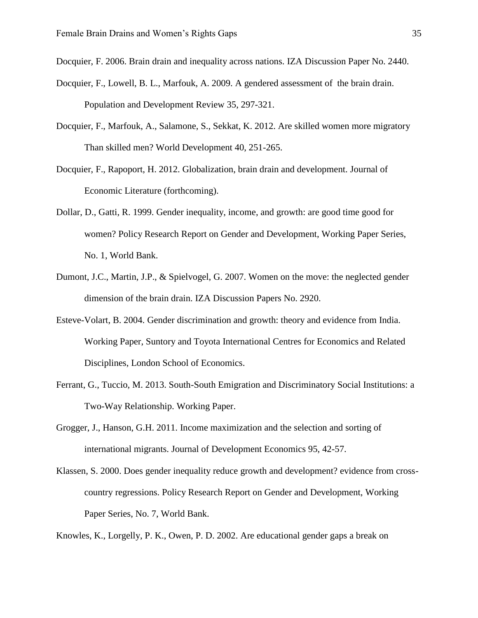Docquier, F. 2006. Brain drain and inequality across nations. IZA Discussion Paper No. 2440.

- Docquier, F., Lowell, B. L., Marfouk, A. 2009. A gendered assessment of the brain drain. Population and Development Review 35, 297-321.
- Docquier, F., Marfouk, A., Salamone, S., Sekkat, K. 2012. Are skilled women more migratory Than skilled men? World Development 40, 251-265.
- Docquier, F., Rapoport, H. 2012. Globalization, brain drain and development. Journal of Economic Literature (forthcoming).
- Dollar, D., Gatti, R. 1999. Gender inequality, income, and growth: are good time good for women? Policy Research Report on Gender and Development, Working Paper Series, No. 1, World Bank.
- Dumont, J.C., Martin, J.P., & Spielvogel, G. 2007. Women on the move: the neglected gender dimension of the brain drain. IZA Discussion Papers No. 2920.
- Esteve-Volart, B. 2004. Gender discrimination and growth: theory and evidence from India. Working Paper, Suntory and Toyota International Centres for Economics and Related Disciplines, London School of Economics.
- Ferrant, G., Tuccio, M. 2013. South-South Emigration and Discriminatory Social Institutions: a Two-Way Relationship. Working Paper.
- Grogger, J., Hanson, G.H. 2011. Income maximization and the selection and sorting of international migrants. Journal of Development Economics 95, 42-57.
- Klassen, S. 2000. Does gender inequality reduce growth and development? evidence from crosscountry regressions. Policy Research Report on Gender and Development, Working Paper Series, No. 7, World Bank.

Knowles, K., Lorgelly, P. K., Owen, P. D. 2002. Are educational gender gaps a break on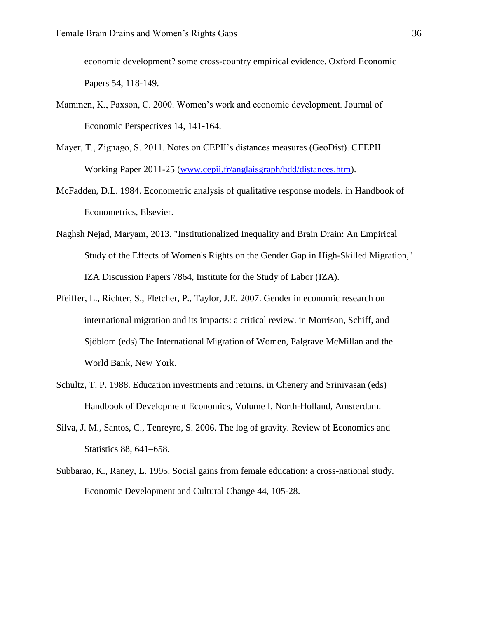economic development? some cross-country empirical evidence. Oxford Economic Papers 54, 118-149.

- Mammen, K., Paxson, C. 2000. Women's work and economic development. Journal of Economic Perspectives 14, 141-164.
- Mayer, T., Zignago, S. 2011. Notes on CEPII's distances measures (GeoDist). CEEPII Working Paper 2011-25 [\(www.cepii.fr/anglaisgraph/bdd/distances.htm\)](http://www.cepii.fr/anglaisgraph/bdd/distances.htm).
- McFadden, D.L. 1984. Econometric analysis of qualitative response models. in Handbook of Econometrics, Elsevier.
- Naghsh Nejad, Maryam, 2013. "Institutionalized Inequality and Brain Drain: An Empirical Study of the Effects of Women's Rights on the Gender Gap in High-Skilled Migration," IZA Discussion Papers 7864, Institute for the Study of Labor (IZA).
- Pfeiffer, L., Richter, S., Fletcher, P., Taylor, J.E. 2007. Gender in economic research on international migration and its impacts: a critical review. in Morrison, Schiff, and Sjöblom (eds) The International Migration of Women, Palgrave McMillan and the World Bank, New York.
- Schultz, T. P. 1988. Education investments and returns. in Chenery and Srinivasan (eds) Handbook of Development Economics, Volume I, North-Holland, Amsterdam.
- Silva, J. M., Santos, C., Tenreyro, S. 2006. The log of gravity. Review of Economics and Statistics 88, 641–658.
- Subbarao, K., Raney, L. 1995. Social gains from female education: a cross-national study. Economic Development and Cultural Change 44, 105-28.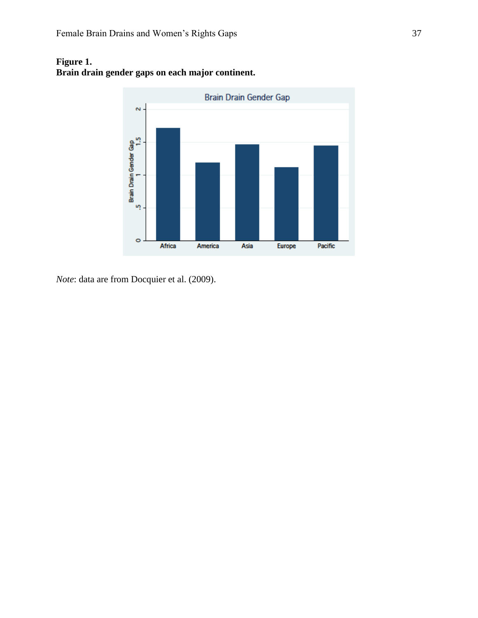

### **Figure 1. Brain drain gender gaps on each major continent.**

*Note*: data are from Docquier et al. (2009).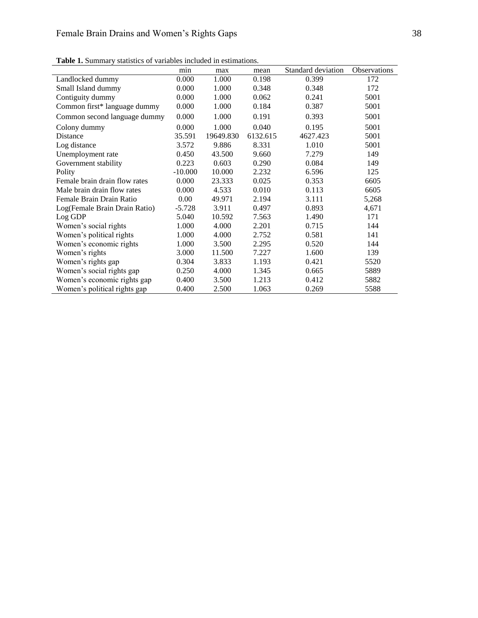|                               | min       | max       | mean     | Standard deviation | Observations |
|-------------------------------|-----------|-----------|----------|--------------------|--------------|
| Landlocked dummy              | 0.000     | 1.000     | 0.198    | 0.399              | 172          |
| Small Island dummy            | 0.000     | 1.000     | 0.348    | 0.348              | 172          |
| Contiguity dummy              | 0.000     | 1.000     | 0.062    | 0.241              | 5001         |
| Common first* language dummy  | 0.000     | 1.000     | 0.184    | 0.387              | 5001         |
| Common second language dummy  | 0.000     | 1.000     | 0.191    | 0.393              | 5001         |
| Colony dummy                  | 0.000     | 1.000     | 0.040    | 0.195              | 5001         |
| <b>Distance</b>               | 35.591    | 19649.830 | 6132.615 | 4627.423           | 5001         |
| Log distance                  | 3.572     | 9.886     | 8.331    | 1.010              | 5001         |
| Unemployment rate             | 0.450     | 43.500    | 9.660    | 7.279              | 149          |
| Government stability          | 0.223     | 0.603     | 0.290    | 0.084              | 149          |
| Polity                        | $-10.000$ | 10.000    | 2.232    | 6.596              | 125          |
| Female brain drain flow rates | 0.000     | 23.333    | 0.025    | 0.353              | 6605         |
| Male brain drain flow rates   | 0.000     | 4.533     | 0.010    | 0.113              | 6605         |
| Female Brain Drain Ratio      | 0.00      | 49.971    | 2.194    | 3.111              | 5,268        |
| Log(Female Brain Drain Ratio) | $-5.728$  | 3.911     | 0.497    | 0.893              | 4,671        |
| Log GDP                       | 5.040     | 10.592    | 7.563    | 1.490              | 171          |
| Women's social rights         | 1.000     | 4.000     | 2.201    | 0.715              | 144          |
| Women's political rights      | 1.000     | 4.000     | 2.752    | 0.581              | 141          |
| Women's economic rights       | 1.000     | 3.500     | 2.295    | 0.520              | 144          |
| Women's rights                | 3.000     | 11.500    | 7.227    | 1.600              | 139          |
| Women's rights gap            | 0.304     | 3.833     | 1.193    | 0.421              | 5520         |
| Women's social rights gap     | 0.250     | 4.000     | 1.345    | 0.665              | 5889         |
| Women's economic rights gap   | 0.400     | 3.500     | 1.213    | 0.412              | 5882         |
| Women's political rights gap  | 0.400     | 2.500     | 1.063    | 0.269              | 5588         |

**Table 1.** Summary statistics of variables included in estimations.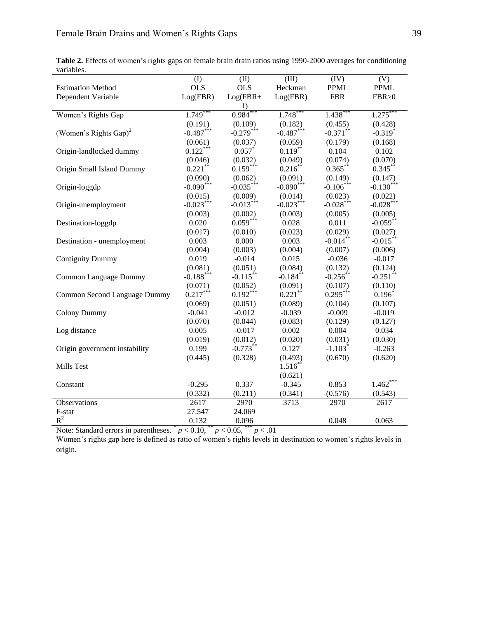|                                   | (I)                  | (II)        | (III)                | (IV)                    | (V)                     |
|-----------------------------------|----------------------|-------------|----------------------|-------------------------|-------------------------|
| <b>Estimation Method</b>          | <b>OLS</b>           | <b>OLS</b>  | Heckman              | <b>PPML</b>             | <b>PPML</b>             |
| Dependent Variable                | Log(FBR)             | $Log(FBR+$  | Log(FBR)             | <b>FBR</b>              | FBR > 0                 |
|                                   |                      | 1)          |                      |                         |                         |
| Women's Rights Gap                | $1.749$ <sup>*</sup> | 0.984       | $1.748$ <sup>*</sup> | $1.438$ <sup>*</sup>    | 1.275                   |
|                                   | (0.191)              | (0.109)     | (0.182)              | (0.455)                 | (0.428)                 |
| (Women's Rights Gap) <sup>2</sup> | $-0.487***$          | $-0.279***$ | $-0.487***$          | $-0.371$ **             | $-0.319*$               |
|                                   | (0.061)              | (0.037)     | (0.059)              | (0.179)                 | (0.168)                 |
| Origin-landlocked dummy           | $0.122***$           | $0.057$ *   | $0.119***$           | 0.104                   | 0.102                   |
|                                   | (0.046)              | (0.032)     | (0.049)              | (0.074)                 | (0.070)                 |
| Origin Small Island Dummy         | $0.221$ **           | $0.159***$  | $0.216***$           | $0.365***$              | $0.345***$              |
|                                   | (0.090)              | (0.062)     | (0.091)              | (0.149)                 | (0.147)                 |
| Origin-loggdp                     | $-0.090***$          | $-0.035***$ | $-0.090***$          | $-0.106***$             | $-0.130***$             |
|                                   | (0.015)              | (0.009)     | (0.014)              | (0.023)                 | (0.022)                 |
| Origin-unemployment               | $-0.023***$          | $-0.013***$ | $-0.023***$          | $-0.028$ <sup>***</sup> | $-0.028$ <sup>***</sup> |
|                                   | (0.003)              | (0.002)     | (0.003)              | (0.005)                 | (0.005)                 |
| Destination-loggdp                | 0.020                | $0.059***$  | 0.028                | 0.011                   | $-0.059**$              |
|                                   | (0.017)              | (0.010)     | (0.023)              | (0.029)                 | (0.027)                 |
| Destination - unemployment        | 0.003                | 0.000       | 0.003                | $-0.014$ **             | $-0.015***$             |
|                                   | (0.004)              | (0.003)     | (0.004)              | (0.007)                 | (0.006)                 |
| <b>Contiguity Dummy</b>           | 0.019                | $-0.014$    | 0.015                | $-0.036$                | $-0.017$                |
|                                   | (0.081)              | (0.051)     | (0.084)              | (0.132)                 | (0.124)                 |
| Common Language Dummy             | $-0.188***$          | $-0.115***$ | $-0.184***$          | $-0.256$ **             | $-0.251$ **             |
|                                   | (0.071)              | (0.052)     | (0.091)              | (0.107)                 | (0.110)                 |
| Common Second Language Dummy      | $0.217***$           | $0.192***$  | $0.221$ **           | $0.295***$              | $0.196*$                |
|                                   | (0.069)              | (0.051)     | (0.089)              | (0.104)                 | (0.107)                 |
| <b>Colony Dummy</b>               | $-0.041$             | $-0.012$    | $-0.039$             | $-0.009$                | $-0.019$                |
|                                   | (0.070)              | (0.044)     | (0.083)              | (0.129)                 | (0.127)                 |
| Log distance                      | 0.005                | $-0.017$    | 0.002                | 0.004                   | 0.034                   |
|                                   | (0.019)              | (0.012)     | (0.020)              | (0.031)                 | (0.030)                 |
| Origin government instability     | 0.199                | $-0.773**$  | 0.127                | $-1.103*$               | $-0.263$                |
|                                   | (0.445)              | (0.328)     | (0.493)              | (0.670)                 | (0.620)                 |
| Mills Test                        |                      |             | $1.516^{**}$         |                         |                         |
|                                   |                      |             | (0.621)              |                         |                         |
| Constant                          | $-0.295$             | 0.337       | $-0.345$             | 0.853                   | $1.462***$              |
|                                   | (0.332)              | (0.211)     | (0.341)              | (0.576)                 | (0.543)                 |
| Observations                      | 2617                 | 2970        | 3713                 | 2970                    | 2617                    |
| F-stat                            | 27.547               | 24.069      |                      |                         |                         |

**Table 2.** Effects of women's rights gaps on female brain drain ratios using 1990-2000 averages for conditioning variables.

Note: Standard errors in parentheses.  $p < 0.10$ ,  $\binom{n}{p} < 0.05$ ,  $\binom{n}{p} < 0.01$ 

Women's rights gap here is defined as ratio of women's rights levels in destination to women's rights levels in origin.

 $R^2$  0.132 0.096 0.048 0.063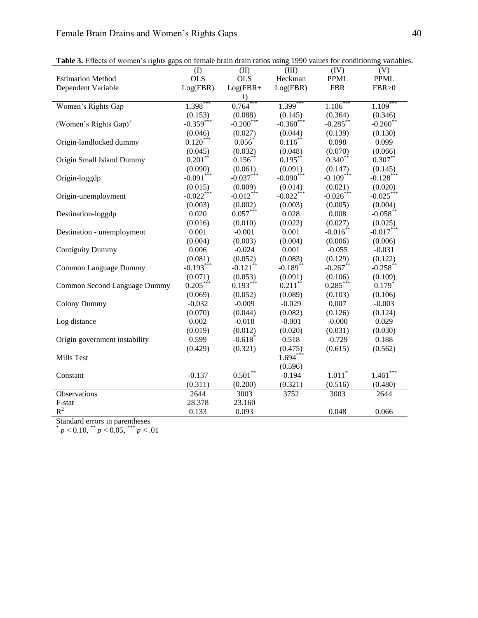|                                   | (I)         | (II)                    | (III)                   | (IV)        | (V)          |
|-----------------------------------|-------------|-------------------------|-------------------------|-------------|--------------|
| <b>Estimation Method</b>          | <b>OLS</b>  | <b>OLS</b>              | Heckman                 | <b>PPML</b> | <b>PPML</b>  |
| Dependent Variable                | Log(FBR)    | $Log(FBR +$             | Log(FBR)                | <b>FBR</b>  | FBR > 0      |
|                                   |             | 1)                      |                         |             |              |
| Women's Rights Gap                | 1.398*      | $0.764$ <sup>*</sup>    | $1.399***$              | $1.186*$    | 1.109        |
|                                   | (0.153)     | (0.088)                 | (0.145)                 | (0.364)     | (0.346)      |
| (Women's Rights Gap) <sup>2</sup> | $-0.359***$ | $-0.200$ <sup>***</sup> | $-0.360$ <sup>***</sup> | $-0.285***$ | $-0.260*$    |
|                                   | (0.046)     | (0.027)                 | (0.044)                 | (0.139)     | (0.130)      |
| Origin-landlocked dummy           | $0.120***$  | $0.056*$                | $0.116***$              | 0.098       | 0.099        |
|                                   | (0.045)     | (0.032)                 | (0.048)                 | (0.070)     | (0.066)      |
| Origin Small Island Dummy         | $0.201***$  | $0.156***$              | $0.195***$              | $0.340**$   | $0.307**$    |
|                                   | (0.090)     | (0.061)                 | (0.091)                 | (0.147)     | (0.145)      |
| Origin-loggdp                     | $-0.091***$ | $-0.037***$             | $-0.090$ <sup>***</sup> | $-0.109***$ | $-0.128$ *** |
|                                   | (0.015)     | (0.009)                 | (0.014)                 | (0.021)     | (0.020)      |
| Origin-unemployment               | $-0.022***$ | $-0.012***$             | $-0.022***$             | $-0.026***$ | $-0.025***$  |
|                                   | (0.003)     | (0.002)                 | (0.003)                 | (0.005)     | (0.004)      |
| Destination-loggdp                | 0.020       | $0.057***$              | 0.028                   | 0.008       | $-0.058$ **  |
|                                   | (0.016)     | (0.010)                 | (0.022)                 | (0.027)     | (0.025)      |
| Destination - unemployment        | 0.001       | $-0.001$                | 0.001                   | $-0.016**$  | $-0.017***$  |
|                                   | (0.004)     | (0.003)                 | (0.004)                 | (0.006)     | (0.006)      |
| <b>Contiguity Dummy</b>           | 0.006       | $-0.024$                | 0.001                   | $-0.055$    | $-0.031$     |
|                                   | (0.081)     | (0.052)                 | (0.083)                 | (0.129)     | (0.122)      |
| Common Language Dummy             | $-0.193***$ | $-0.121$ <sup>**</sup>  | $-0.189$ **             | $-0.267**$  | $-0.258$ **  |
|                                   | (0.071)     | (0.053)                 | (0.091)                 | (0.106)     | (0.109)      |
| Common Second Language Dummy      | $0.205***$  | $0.193***$              | $0.211***$              | $0.285***$  | $0.179*$     |
|                                   | (0.069)     | (0.052)                 | (0.089)                 | (0.103)     | (0.106)      |
| <b>Colony Dummy</b>               | $-0.032$    | $-0.009$                | $-0.029$                | 0.007       | $-0.003$     |
|                                   | (0.070)     | (0.044)                 | (0.082)                 | (0.126)     | (0.124)      |
| Log distance                      | 0.002       | $-0.018$                | $-0.001$                | $-0.000$    | 0.029        |
|                                   | (0.019)     | (0.012)                 | (0.020)                 | (0.031)     | (0.030)      |
| Origin government instability     | 0.599       | $-0.618$ <sup>*</sup>   | 0.518                   | $-0.729$    | 0.188        |
|                                   | (0.429)     | (0.321)                 | (0.475)                 | (0.615)     | (0.562)      |
| Mills Test                        |             |                         | $1.694***$              |             |              |
|                                   |             |                         | (0.596)                 |             |              |
| Constant                          | $-0.137$    | $0.501***$              | $-0.194$                | $1.011*$    | $1.461***$   |
|                                   | (0.311)     | (0.200)                 | (0.321)                 | (0.516)     | (0.480)      |
| Observations                      | 2644        | 3003                    | 3752                    | 3003        | 2644         |
| F-stat                            | 28.378      | 23.160                  |                         |             |              |
| $R^2$                             | 0.133       | 0.093                   |                         | 0.048       | 0.066        |

**Table 3.** Effects of women's rights gaps on female brain drain ratios using 1990 values for conditioning variables.

Standard errors in parentheses<br>  $\binom{*}{p} < 0.10$ ,  $\binom{*}{p} < 0.05$ ,  $\binom{*}{p} < 0.01$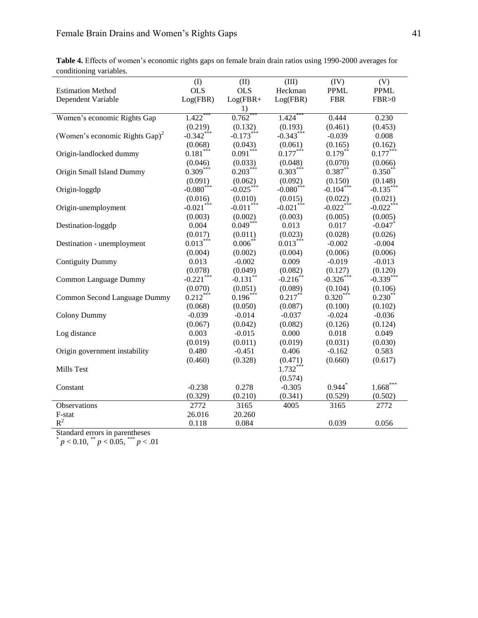|                         | Table 4. Effects of women's economic rights gaps on female brain drain ratios using 1990-2000 averages for |  |  |  |
|-------------------------|------------------------------------------------------------------------------------------------------------|--|--|--|
| conditioning variables. |                                                                                                            |  |  |  |

| conditioning variables.                    |                         |                         |                         |              |              |
|--------------------------------------------|-------------------------|-------------------------|-------------------------|--------------|--------------|
|                                            | (I)                     | (II)                    | (III)                   | (IV)         | (V)          |
| <b>Estimation Method</b>                   | <b>OLS</b>              | <b>OLS</b>              | Heckman                 | <b>PPML</b>  | <b>PPML</b>  |
| Dependent Variable                         | Log(FBR)                | $Log(FBR+$              | Log(FBR)                | <b>FBR</b>   | FBR > 0      |
|                                            |                         | 1)                      |                         |              |              |
| Women's economic Rights Gap                | $1.422$ <sup>*</sup>    | 0.762                   | 1.424                   | 0.444        | 0.230        |
|                                            | (0.219)                 | (0.132)                 | (0.193)                 | (0.461)      | (0.453)      |
| (Women's economic Rights Gap) <sup>2</sup> | $-0.342***$             | $-0.173***$             | $-0.343***$             | $-0.039$     | 0.008        |
|                                            | (0.068)                 | (0.043)                 | (0.061)                 | (0.165)      | (0.162)      |
| Origin-landlocked dummy                    | $0.181***$              | $0.091***$              | $0.177***$              | $0.179***$   | $0.177***$   |
|                                            | (0.046)                 | (0.033)                 | (0.048)                 | (0.070)      | (0.066)      |
| Origin Small Island Dummy                  | $0.309***$              | $0.203***$              | $0.303***$              | $0.387**$    | $0.350**$    |
|                                            | (0.091)                 | (0.062)                 | (0.092)                 | (0.150)      | (0.148)      |
| Origin-loggdp                              | $-0.080***$             | $-0.025***$             | $-0.080***$             | $-0.104***$  | $-0.135***$  |
|                                            | (0.016)                 | (0.010)                 | (0.015)                 | (0.022)      | (0.021)      |
| Origin-unemployment                        | $-0.021$ <sup>***</sup> | $-0.011$ <sup>***</sup> | $-0.021$ <sup>***</sup> | $-0.022$ *** | $-0.022***$  |
|                                            | (0.003)                 | (0.002)                 | (0.003)                 | (0.005)      | (0.005)      |
| Destination-loggdp                         | 0.004                   | $0.049***$              | 0.013                   | 0.017        | $-0.047$ *   |
|                                            | (0.017)                 | (0.011)                 | (0.023)                 | (0.028)      | (0.026)      |
| Destination - unemployment                 | $0.013***$              | $0.006***$              | $0.013***$              | $-0.002$     | $-0.004$     |
|                                            | (0.004)                 | (0.002)                 | (0.004)                 | (0.006)      | (0.006)      |
| <b>Contiguity Dummy</b>                    | 0.013                   | $-0.002$                | 0.009                   | $-0.019$     | $-0.013$     |
|                                            | (0.078)                 | (0.049)                 | (0.082)                 | (0.127)      | (0.120)      |
| Common Language Dummy                      | $-0.221$ ***            | $-0.131$ **             | $-0.216$ **             | $-0.326***$  | $-0.339***$  |
|                                            | (0.070)                 | (0.051)                 | (0.089)                 | (0.104)      | (0.106)      |
| Common Second Language Dummy               | $0.212***$              | $0.196***$              | $0.217***$              | $0.320***$   | $0.230^{**}$ |
|                                            | (0.068)                 | (0.050)                 | (0.087)                 | (0.100)      | (0.102)      |
| <b>Colony Dummy</b>                        | $-0.039$                | $-0.014$                | $-0.037$                | $-0.024$     | $-0.036$     |
|                                            | (0.067)                 | (0.042)                 | (0.082)                 | (0.126)      | (0.124)      |
| Log distance                               | 0.003                   | $-0.015$                | 0.000                   | 0.018        | 0.049        |
|                                            | (0.019)                 | (0.011)                 | (0.019)                 | (0.031)      | (0.030)      |
| Origin government instability              | 0.480                   | $-0.451$                | 0.406                   | $-0.162$     | 0.583        |
|                                            | (0.460)                 | (0.328)                 | (0.471)                 | (0.660)      | (0.617)      |
| Mills Test                                 |                         |                         | $1.732***$              |              |              |
|                                            |                         |                         | (0.574)                 |              |              |
| Constant                                   | $-0.238$                | 0.278                   | $-0.305$                | $0.944*$     | $1.668***$   |
|                                            | (0.329)                 | (0.210)                 | (0.341)                 | (0.529)      | (0.502)      |
| Observations                               | 2772                    | 3165                    | 4005                    | 3165         | 2772         |
| F-stat                                     | 26.016                  | 20.260                  |                         |              |              |
| $R^2$                                      | 0.118                   | 0.084                   |                         | 0.039        | 0.056        |
|                                            |                         |                         |                         |              |              |

Standard errors in parentheses<br>  $p < 0.10$ ,  $\binom{**}{p} < 0.05$ ,  $\binom{***}{p} < 0.01$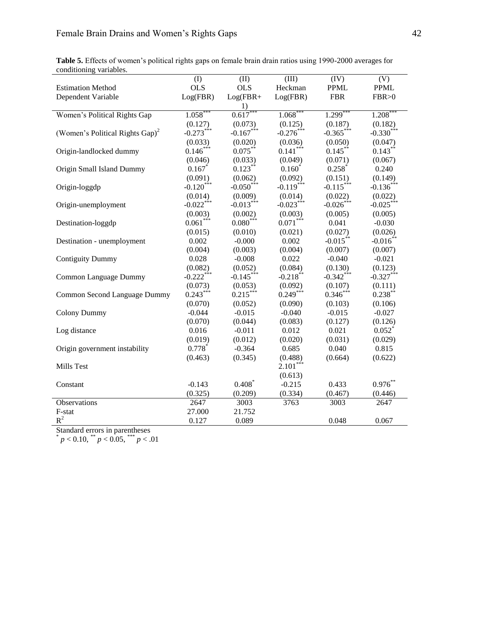|                         |  |  |  |  |  | Table 5. Effects of women's political rights gaps on female brain drain ratios using 1990-2000 averages for |  |
|-------------------------|--|--|--|--|--|-------------------------------------------------------------------------------------------------------------|--|
| conditioning variables. |  |  |  |  |  |                                                                                                             |  |

| conditioning variables.                     | (I)                     | (II)         | (III)       | (IV)                    | (V)                  |
|---------------------------------------------|-------------------------|--------------|-------------|-------------------------|----------------------|
| <b>Estimation Method</b>                    | <b>OLS</b>              | <b>OLS</b>   | Heckman     | <b>PPML</b>             | <b>PPML</b>          |
| Dependent Variable                          | Log(FBR)                | $Log(FBR +$  | Log(FBR)    | <b>FBR</b>              | FBR > 0              |
|                                             |                         | 1)           |             |                         |                      |
| Women's Political Rights Gap                | 1.058                   | 0.617        | 1.068       | $1.299$ <sup>*</sup>    | 1.208                |
|                                             | (0.127)                 | (0.073)      | (0.125)     | (0.187)                 | (0.182)              |
| (Women's Political Rights Gap) <sup>2</sup> | $-0.273***$             | $-0.167***$  | $-0.276***$ | $-0.365$ ***            | $-0.330***$          |
|                                             | (0.033)                 | (0.020)      | (0.036)     | (0.050)                 | (0.047)              |
| Origin-landlocked dummy                     | $0.146***$              | $0.075***$   | $0.141***$  | $0.145***$              | $0.143***$           |
|                                             | (0.046)                 | (0.033)      | (0.049)     | (0.071)                 | (0.067)              |
| Origin Small Island Dummy                   | 0.167                   | $0.123***$   | $0.160^{*}$ | $0.258$ <sup>*</sup>    | 0.240                |
|                                             | (0.091)                 | (0.062)      | (0.092)     | (0.151)                 | (0.149)              |
| Origin-loggdp                               | $-0.120***$             | $-0.050$ *** | $-0.119***$ | $-0.115***$             | $-0.136***$          |
|                                             | (0.014)                 | (0.009)      | (0.014)     | (0.022)                 | (0.022)              |
| Origin-unemployment                         | $-0.022$ <sup>***</sup> | $-0.013***$  | $-0.023***$ | $-0.026$ <sup>***</sup> | $-0.025***$          |
|                                             | (0.003)                 | (0.002)      | (0.003)     | (0.005)                 | (0.005)              |
| Destination-loggdp                          | $0.061***$              | $0.080***$   | $0.071***$  | 0.041                   | $-0.030$             |
|                                             | (0.015)                 | (0.010)      | (0.021)     | (0.027)                 | (0.026)              |
| Destination - unemployment                  | 0.002                   | $-0.000$     | 0.002       | $-0.015***$             | $-0.016$ **          |
|                                             | (0.004)                 | (0.003)      | (0.004)     | (0.007)                 | (0.007)              |
| <b>Contiguity Dummy</b>                     | 0.028                   | $-0.008$     | 0.022       | $-0.040$                | $-0.021$             |
|                                             | (0.082)                 | (0.052)      | (0.084)     | (0.130)                 | (0.123)              |
| Common Language Dummy                       | $-0.222$ ***            | $-0.145***$  | $-0.218**$  | $-0.342$ ***            | $-0.327***$          |
|                                             | (0.073)                 | (0.053)      | (0.092)     | (0.107)                 | (0.111)              |
| Common Second Language Dummy                | $0.243***$              | $0.215***$   | $0.249***$  | $0.346***$              | $0.238***$           |
|                                             | (0.070)                 | (0.052)      | (0.090)     | (0.103)                 | (0.106)              |
| <b>Colony Dummy</b>                         | $-0.044$                | $-0.015$     | $-0.040$    | $-0.015$                | $-0.027$             |
|                                             | (0.070)                 | (0.044)      | (0.083)     | (0.127)                 | (0.126)              |
| Log distance                                | 0.016                   | $-0.011$     | 0.012       | 0.021                   | $0.052$ <sup>*</sup> |
|                                             | (0.019)                 | (0.012)      | (0.020)     | (0.031)                 | (0.029)              |
| Origin government instability               | $0.778*$                | $-0.364$     | 0.685       | 0.040                   | 0.815                |
|                                             | (0.463)                 | (0.345)      | (0.488)     | (0.664)                 | (0.622)              |
| Mills Test                                  |                         |              | $2.101***$  |                         |                      |
|                                             |                         |              | (0.613)     |                         |                      |
| Constant                                    | $-0.143$                | $0.408*$     | $-0.215$    | 0.433                   | $0.976**$            |
|                                             | (0.325)                 | (0.209)      | (0.334)     | (0.467)                 | (0.446)              |
| Observations                                | 2647                    | 3003         | 3763        | 3003                    | 2647                 |
| F-stat                                      | 27.000                  | 21.752       |             |                         |                      |
| $R^2$                                       | 0.127                   | 0.089        |             | 0.048                   | 0.067                |

Standard errors in parentheses<br>  $p < 0.10$ ,  $\binom{**}{p} < 0.05$ ,  $\binom{***}{p} < 0.01$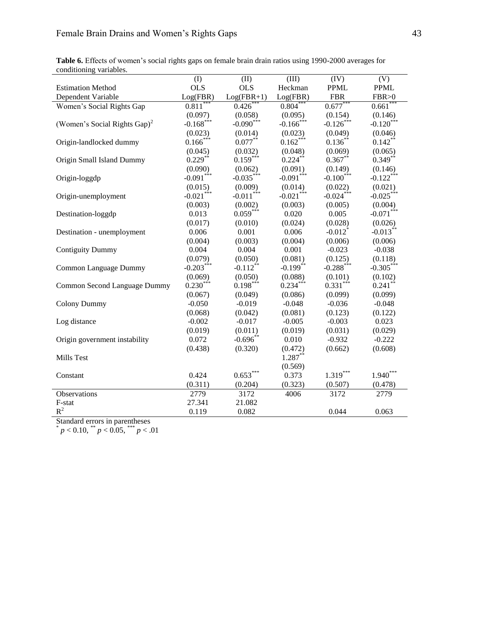| Table 6. Effects of women's social rights gaps on female brain drain ratios using 1990-2000 averages for |  |  |
|----------------------------------------------------------------------------------------------------------|--|--|
| conditioning variables.                                                                                  |  |  |

| conditioning variables.                  |                         |                         |              |                         |              |
|------------------------------------------|-------------------------|-------------------------|--------------|-------------------------|--------------|
|                                          | (I)                     | (II)                    | (III)        | (IV)                    | (V)          |
| <b>Estimation Method</b>                 | <b>OLS</b>              | <b>OLS</b>              | Heckman      | <b>PPML</b>             | <b>PPML</b>  |
| Dependent Variable                       | Log(FBR)                | $Log(FBR+1)$            | Log(FBR)     | <b>FBR</b>              | FBR > 0      |
| Women's Social Rights Gap                | $0.811*$                | $0.426*$                | $0.804$ **   | $0.677***$              | 0.661        |
|                                          | (0.097)                 | (0.058)                 | (0.095)      | (0.154)                 | (0.146)      |
| (Women's Social Rights Gap) <sup>2</sup> | $-0.168$ <sup>***</sup> | $-0.090$ <sup>***</sup> | $-0.166$ *** | $-0.126$ ***            | $-0.120$ *** |
|                                          | (0.023)                 | (0.014)                 | (0.023)      | (0.049)                 | (0.046)      |
| Origin-landlocked dummy                  | $0.166***$              | $0.077***$              | $0.162***$   | $0.136***$              | $0.142***$   |
|                                          | (0.045)                 | (0.032)                 | (0.048)      | (0.069)                 | (0.065)      |
| Origin Small Island Dummy                | $0.229***$              | $0.159***$              | $0.224***$   | $0.367**$               | $0.349**$    |
|                                          | (0.090)                 | (0.062)                 | (0.091)      | (0.149)                 | (0.146)      |
| Origin-loggdp                            | $-0.091***$             | $-0.035***$             | $-0.091***$  | $-0.100$ <sup>***</sup> | $-0.122***$  |
|                                          | (0.015)                 | (0.009)                 | (0.014)      | (0.022)                 | (0.021)      |
| Origin-unemployment                      | $-0.021***$             | $-0.011$ <sup>***</sup> | $-0.021$ *** | $-0.024***$             | $-0.025***$  |
|                                          | (0.003)                 | (0.002)                 | (0.003)      | (0.005)                 | (0.004)      |
| Destination-loggdp                       | 0.013                   | $0.059***$              | 0.020        | 0.005                   | $-0.071***$  |
|                                          | (0.017)                 | (0.010)                 | (0.024)      | (0.028)                 | (0.026)      |
| Destination - unemployment               | 0.006                   | 0.001                   | 0.006        | $-0.012$ <sup>*</sup>   | $-0.013***$  |
|                                          | (0.004)                 | (0.003)                 | (0.004)      | (0.006)                 | (0.006)      |
| <b>Contiguity Dummy</b>                  | 0.004                   | 0.004                   | 0.001        | $-0.023$                | $-0.038$     |
|                                          | (0.079)                 | (0.050)                 | (0.081)      | (0.125)                 | (0.118)      |
| Common Language Dummy                    | $-0.203***$             | $-0.112**$              | $-0.199**$   | $-0.288$ ***            | $-0.305***$  |
|                                          | (0.069)                 | (0.050)                 | (0.088)      | (0.101)                 | (0.102)      |
| Common Second Language Dummy             | $0.230***$              | $0.198***$              | $0.234***$   | $0.331***$              | $0.241$ **   |
|                                          | (0.067)                 | (0.049)                 | (0.086)      | (0.099)                 | (0.099)      |
| <b>Colony Dummy</b>                      | $-0.050$                | $-0.019$                | $-0.048$     | $-0.036$                | $-0.048$     |
|                                          | (0.068)                 | (0.042)                 | (0.081)      | (0.123)                 | (0.122)      |
| Log distance                             | $-0.002$                | $-0.017$                | $-0.005$     | $-0.003$                | 0.023        |
|                                          | (0.019)                 | (0.011)                 | (0.019)      | (0.031)                 | (0.029)      |
| Origin government instability            | 0.072                   | $-0.696$ **             | 0.010        | $-0.932$                | $-0.222$     |
|                                          | (0.438)                 | (0.320)                 | (0.472)      | (0.662)                 | (0.608)      |
| Mills Test                               |                         |                         | $1.287***$   |                         |              |
|                                          |                         |                         | (0.569)      |                         |              |
| Constant                                 | 0.424                   | $0.653***$              | 0.373        | $1.319***$              | $1.940***$   |
|                                          | (0.311)                 | (0.204)                 | (0.323)      | (0.507)                 | (0.478)      |
| Observations                             | 2779                    | 3172                    | 4006         | 3172                    | 2779         |
| F-stat                                   | 27.341                  | 21.082                  |              |                         |              |
| $\mathbb{R}^2$                           | 0.119                   | 0.082                   |              | 0.044                   | 0.063        |

Standard errors in parentheses<br>  $\binom{*}{p} < 0.10$ ,  $\binom{*}{p} < 0.05$ ,  $\binom{*}{p} < 0.01$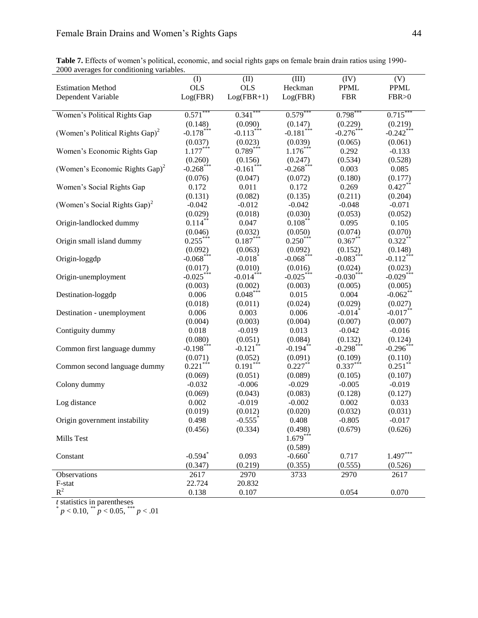| Table 7. Effects of women's political, economic, and social rights gaps on female brain drain ratios using 1990- |  |
|------------------------------------------------------------------------------------------------------------------|--|
| 2000 averages for conditioning variables.                                                                        |  |

|                                             | (I)                     | (II)                   | (III)                   | (IV)                  | (V)                   |
|---------------------------------------------|-------------------------|------------------------|-------------------------|-----------------------|-----------------------|
| <b>Estimation Method</b>                    | <b>OLS</b>              | <b>OLS</b>             | Heckman                 | <b>PPML</b>           | $\rm PPML$            |
| Dependent Variable                          | Log(FBR)                | $Log(FBR+1)$           | Log(FBR)                | <b>FBR</b>            | FBR > 0               |
|                                             |                         |                        |                         |                       |                       |
| Women's Political Rights Gap                | 0.571                   | $0.341$ <sup>*</sup>   | 0.579                   | 0.798                 | $0.715^{\degree}$     |
|                                             | (0.148)                 | (0.090)                | (0.147)                 | (0.229)               | (0.219)               |
| (Women's Political Rights Gap) <sup>2</sup> | $-0.178***$             | $-0.113***$            | $-0.181$ <sup>***</sup> | $-0.276***$           | $-0.242***$           |
|                                             | (0.037)                 | (0.023)                | (0.039)                 | (0.065)               | (0.061)               |
| Women's Economic Rights Gap                 | $1.177***$              | $0.789***$             | $1.176***$              | 0.292                 | $-0.133$              |
|                                             | (0.260)                 | (0.156)                | (0.247)                 | (0.534)               | (0.528)               |
| (Women's Economic Rights Gap) <sup>2</sup>  | $-0.268$ ***            | $-0.161$ ***           | $-0.268***$             | 0.003                 | 0.085                 |
|                                             | (0.076)                 | (0.047)                | (0.072)                 | (0.180)               | (0.177)<br>$0.427***$ |
| Women's Social Rights Gap                   | 0.172                   | 0.011                  | 0.172                   | 0.269                 |                       |
| (Women's Social Rights Gap) <sup>2</sup>    | (0.131)<br>$-0.042$     | (0.082)<br>$-0.012$    | (0.135)<br>$-0.042$     | (0.211)<br>$-0.048$   | (0.204)<br>$-0.071$   |
|                                             | (0.029)                 | (0.018)                | (0.030)                 | (0.053)               | (0.052)               |
| Origin-landlocked dummy                     | $0.114***$              | 0.047                  | $0.108***$              | 0.095                 | 0.105                 |
|                                             | (0.046)                 | (0.032)                | (0.050)                 | (0.074)               | (0.070)               |
| Origin small island dummy                   | $0.255***$              | $0.187***$             | $0.250***$              | $0.367**$             | $0.322***$            |
|                                             | (0.092)                 | (0.063)                | (0.092)                 | (0.152)               | (0.148)               |
| Origin-loggdp                               | $-0.068$ <sup>***</sup> | $-0.018$ <sup>*</sup>  | $-0.068$ ***            | $-0.083***$           | $-0.112***$           |
|                                             | (0.017)                 | (0.010)                | (0.016)                 | (0.024)               | (0.023)               |
| Origin-unemployment                         | $-0.025***$             | $-0.014***$            | $-0.025***$             | $-0.030***$           | $-0.029***$           |
|                                             | (0.003)                 | (0.002)                | (0.003)                 | (0.005)               | (0.005)               |
| Destination-loggdp                          | 0.006                   | $0.048***$             | 0.015                   | 0.004                 | $-0.062$ **           |
|                                             | (0.018)                 | (0.011)                | (0.024)                 | (0.029)               | (0.027)               |
| Destination - unemployment                  | 0.006                   | 0.003                  | 0.006                   | $-0.014$ <sup>*</sup> | $-0.017**$            |
|                                             | (0.004)                 | (0.003)                | (0.004)                 | (0.007)               | (0.007)               |
| Contiguity dummy                            | 0.018                   | $-0.019$               | 0.013                   | $-0.042$              | $-0.016$              |
|                                             | (0.080)                 | (0.051)                | (0.084)                 | (0.132)               | (0.124)               |
| Common first language dummy                 | $-0.198***$             | $-0.121$ <sup>**</sup> | $-0.194***$             | $-0.298***$           | $-0.296***$           |
|                                             | (0.071)                 | (0.052)                | (0.091)                 | (0.109)               | (0.110)               |
| Common second language dummy                | $0.221***$              | $0.191***$             | $0.227***$              | $0.337***$            | $0.251$ **            |
|                                             | (0.069)                 | (0.051)                | (0.089)                 | (0.105)               | (0.107)               |
| Colony dummy                                | $-0.032$                | $-0.006$               | $-0.029$                | $-0.005$              | $-0.019$              |
|                                             | (0.069)<br>0.002        | (0.043)<br>$-0.019$    | (0.083)<br>$-0.002$     | (0.128)<br>0.002      | (0.127)<br>0.033      |
| Log distance                                | (0.019)                 | (0.012)                | (0.020)                 | (0.032)               | (0.031)               |
| Origin government instability               | 0.498                   | $-0.555$ <sup>*</sup>  | 0.408                   | $-0.805$              | $-0.017$              |
|                                             | (0.456)                 | (0.334)                | (0.498)                 | (0.679)               | (0.626)               |
| Mills Test                                  |                         |                        | $1.679***$              |                       |                       |
|                                             |                         |                        | (0.589)                 |                       |                       |
| Constant                                    | $-0.594$ <sup>*</sup>   | 0.093                  | $-0.660$ <sup>*</sup>   | 0.717                 | $1.497***$            |
|                                             | (0.347)                 | (0.219)                | (0.355)                 | (0.555)               | (0.526)               |
| Observations                                | 2617                    | 2970                   | 3733                    | 2970                  | 2617                  |
| F-stat                                      | 22.724                  | 20.832                 |                         |                       |                       |
| $R^2$                                       | 0.138                   | 0.107                  |                         | 0.054                 | 0.070                 |

*t* statistics in parentheses<br>  $p < 0.10$ ,  $^{**} p < 0.05$ ,  $^{***} p < .01$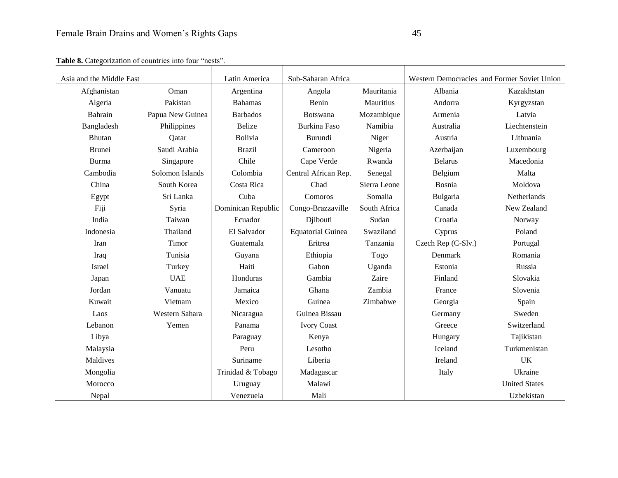| Asia and the Middle East |                  | Latin America      | Sub-Saharan Africa       |              | Western Democracies and Former Soviet Union |                      |
|--------------------------|------------------|--------------------|--------------------------|--------------|---------------------------------------------|----------------------|
| Afghanistan              | Oman             | Argentina          | Angola                   | Mauritania   | Albania                                     | Kazakhstan           |
| Algeria                  | Pakistan         | <b>Bahamas</b>     | Benin                    | Mauritius    | Andorra                                     | Kyrgyzstan           |
| Bahrain                  | Papua New Guinea | <b>Barbados</b>    | Botswana                 | Mozambique   | Armenia                                     | Latvia               |
| Bangladesh               | Philippines      | <b>Belize</b>      | <b>Burkina Faso</b>      | Namibia      | Australia                                   | Liechtenstein        |
| Bhutan                   | Qatar            | Bolivia            | Burundi                  | Niger        | Austria                                     | Lithuania            |
| <b>Brunei</b>            | Saudi Arabia     | <b>Brazil</b>      | Cameroon                 | Nigeria      | Azerbaijan                                  | Luxembourg           |
| Burma                    | Singapore        | Chile              | Cape Verde               | Rwanda       | <b>Belarus</b>                              | Macedonia            |
| Cambodia                 | Solomon Islands  | Colombia           | Central African Rep.     | Senegal      | Belgium                                     | Malta                |
| China                    | South Korea      | Costa Rica         | Chad                     | Sierra Leone | Bosnia                                      | Moldova              |
| Egypt                    | Sri Lanka        | Cuba               | Comoros                  | Somalia      | Bulgaria                                    | Netherlands          |
| Fiji                     | Syria            | Dominican Republic | Congo-Brazzaville        | South Africa | Canada                                      | New Zealand          |
| India                    | Taiwan           | Ecuador            | Djibouti                 | Sudan        | Croatia                                     | Norway               |
| Indonesia                | Thailand         | El Salvador        | <b>Equatorial Guinea</b> | Swaziland    | Cyprus                                      | Poland               |
| Iran                     | Timor            | Guatemala          | Eritrea                  | Tanzania     | Czech Rep (C-Slv.)                          | Portugal             |
| Iraq                     | Tunisia          | Guyana             | Ethiopia                 | Togo         | Denmark                                     | Romania              |
| Israel                   | Turkey           | Haiti              | Gabon                    | Uganda       | Estonia                                     | Russia               |
| Japan                    | <b>UAE</b>       | Honduras           | Gambia                   | Zaire        | Finland                                     | Slovakia             |
| Jordan                   | Vanuatu          | Jamaica            | Ghana                    | Zambia       | France                                      | Slovenia             |
| Kuwait                   | Vietnam          | Mexico             | Guinea                   | Zimbabwe     | Georgia                                     | Spain                |
| Laos                     | Western Sahara   | Nicaragua          | Guinea Bissau            |              | Germany                                     | Sweden               |
| Lebanon                  | Yemen            | Panama             | <b>Ivory Coast</b>       |              | Greece                                      | Switzerland          |
| Libya                    |                  | Paraguay           | Kenya                    |              | Hungary                                     | Tajikistan           |
| Malaysia                 |                  | Peru               | Lesotho                  |              | Iceland                                     | Turkmenistan         |
| Maldives                 |                  | Suriname           | Liberia                  |              | Ireland                                     | <b>UK</b>            |
| Mongolia                 |                  | Trinidad & Tobago  | Madagascar               |              | Italy                                       | Ukraine              |
| Morocco                  |                  | Uruguay            | Malawi                   |              |                                             | <b>United States</b> |
| Nepal                    |                  | Venezuela          | Mali                     |              |                                             | Uzbekistan           |

Table 8. Categorization of countries into four "nests".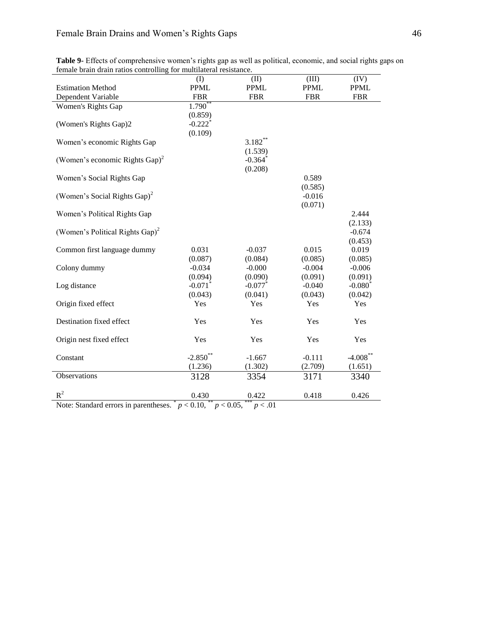|                                                                           | $\rm (I)$             | (II)                          | (III)       | (IV)        |
|---------------------------------------------------------------------------|-----------------------|-------------------------------|-------------|-------------|
| <b>Estimation Method</b>                                                  | <b>PPML</b>           | <b>PPML</b>                   | <b>PPML</b> | <b>PPML</b> |
| Dependent Variable                                                        | <b>FBR</b>            | <b>FBR</b>                    | <b>FBR</b>  | <b>FBR</b>  |
| Women's Rights Gap                                                        | $1.790**$             |                               |             |             |
|                                                                           | (0.859)               |                               |             |             |
| (Women's Rights Gap)2                                                     | $-0.222$ <sup>*</sup> |                               |             |             |
|                                                                           | (0.109)               |                               |             |             |
| Women's economic Rights Gap                                               |                       | $3.182***$                    |             |             |
|                                                                           |                       | (1.539)                       |             |             |
| (Women's economic Rights Gap) <sup>2</sup>                                |                       | $-0.364$ <sup>*</sup>         |             |             |
|                                                                           |                       | (0.208)                       |             |             |
| Women's Social Rights Gap                                                 |                       |                               | 0.589       |             |
|                                                                           |                       |                               | (0.585)     |             |
| (Women's Social Rights Gap) <sup>2</sup>                                  |                       |                               | $-0.016$    |             |
|                                                                           |                       |                               | (0.071)     |             |
| Women's Political Rights Gap                                              |                       |                               |             | 2.444       |
|                                                                           |                       |                               |             | (2.133)     |
| (Women's Political Rights Gap) <sup>2</sup>                               |                       |                               |             | $-0.674$    |
|                                                                           |                       |                               |             | (0.453)     |
| Common first language dummy                                               | 0.031                 | $-0.037$                      | 0.015       | 0.019       |
|                                                                           | (0.087)               | (0.084)                       | (0.085)     | (0.085)     |
| Colony dummy                                                              | $-0.034$              | $-0.000$                      | $-0.004$    | $-0.006$    |
|                                                                           | (0.094)               | (0.090)                       | (0.091)     | (0.091)     |
| Log distance                                                              | $-0.071$ <sup>*</sup> | $-0.077$ *                    | $-0.040$    | $-0.080^*$  |
|                                                                           | (0.043)               | (0.041)                       | (0.043)     | (0.042)     |
| Origin fixed effect                                                       | Yes                   | Yes                           | Yes         | Yes         |
|                                                                           |                       |                               |             |             |
| Destination fixed effect                                                  | Yes                   | Yes                           | Yes         | Yes         |
|                                                                           |                       |                               |             |             |
| Origin nest fixed effect                                                  | Yes                   | Yes                           | Yes         | Yes         |
|                                                                           |                       |                               |             |             |
| Constant                                                                  | $-2.850**$            | $-1.667$                      | $-0.111$    | $-4.008$ ** |
|                                                                           | (1.236)               | (1.302)                       | (2.709)     | (1.651)     |
| Observations                                                              | 3128                  | 3354                          | 3171        | 3340        |
|                                                                           |                       |                               |             |             |
| $R^2$                                                                     | 0.430                 | 0.422                         | 0.418       | 0.426       |
| $\mathbf{M}$ and $\mathbf{M}$ and $\mathbf{M}$ and $\mathbf{M}$<br>(1, 1) | $0.10$ **             | $.005$ <sup>***</sup><br>. 01 |             |             |

**Table 9-** Effects of comprehensive women's rights gap as well as political, economic, and social rights gaps on female brain drain ratios controlling for multilateral resistance.

Note: Standard errors in parentheses.  $p < 0.10$ ,  $\binom{n}{p} < 0.05$ ,  $\binom{n}{p} < 0.01$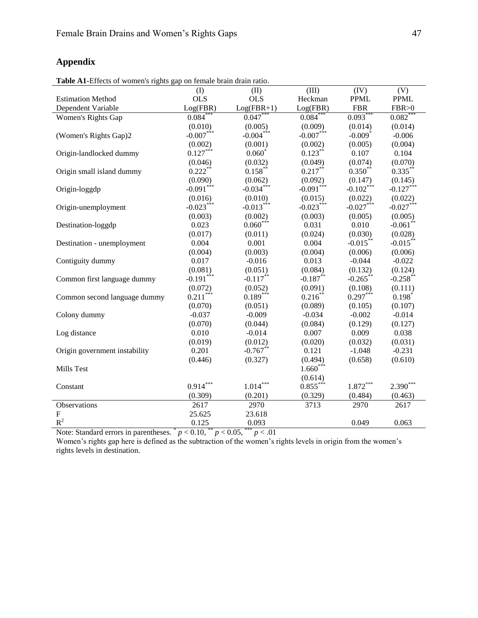## **Appendix**

| <b>rapic Ar-</b> Effects of women's rights gap on female brain urain ratio. | (I)                     | (II)         | (III)       | (IV)                  | (V)                   |
|-----------------------------------------------------------------------------|-------------------------|--------------|-------------|-----------------------|-----------------------|
| <b>Estimation Method</b>                                                    | <b>OLS</b>              | <b>OLS</b>   | Heckman     | <b>PPML</b>           | <b>PPML</b>           |
| Dependent Variable                                                          | Log(FBR)                | $Log(FBR+1)$ | Log(FBR)    | <b>FBR</b>            | FBR > 0               |
| Women's Rights Gap                                                          | $0.084*$                | $0.047**$    | 0.084       | 0.093                 | 0.082                 |
|                                                                             | (0.010)                 | (0.005)      | (0.009)     | (0.014)               | (0.014)               |
| (Women's Rights Gap)2                                                       | $-0.007***$             | $-0.004***$  | $-0.007***$ | $-0.009$ <sup>*</sup> | $-0.006$              |
|                                                                             | (0.002)                 | (0.001)      | (0.002)     | (0.005)               | (0.004)               |
| Origin-landlocked dummy                                                     | $0.127***$              | $0.060*$     | $0.123***$  | 0.107                 | 0.104                 |
|                                                                             | (0.046)                 | (0.032)      | (0.049)     | (0.074)               | (0.070)               |
| Origin small island dummy                                                   | $0.222$ **              | $0.158***$   | $0.217***$  | $0.350^{**}$          | $0.335***$            |
|                                                                             | (0.090)                 | (0.062)      | (0.092)     | (0.147)               | (0.145)               |
| Origin-loggdp                                                               | $-0.091***$             | $-0.034***$  | $-0.091***$ | $-0.102***$           | $-0.127***$           |
|                                                                             | (0.016)                 | (0.010)      | (0.015)     | (0.022)               | (0.022)               |
| Origin-unemployment                                                         | $-0.023***$             | $-0.013***$  | $-0.023***$ | $-0.027***$           | $-0.027***$           |
|                                                                             | (0.003)                 | (0.002)      | (0.003)     | (0.005)               | (0.005)               |
| Destination-loggdp                                                          | 0.023                   | $0.060***$   | 0.031       | 0.010                 | $-0.061$ *            |
|                                                                             | (0.017)                 | (0.011)      | (0.024)     | (0.030)               | (0.028)               |
| Destination - unemployment                                                  | 0.004                   | 0.001        | 0.004       | $-0.015***$           | $-0.015***$           |
|                                                                             | (0.004)                 | (0.003)      | (0.004)     | (0.006)               | (0.006)               |
| Contiguity dummy                                                            | 0.017                   | $-0.016$     | 0.013       | $-0.044$              | $-0.022$              |
|                                                                             | $(0.081)$<br>-0.191***  | (0.051)      | (0.084)     | (0.132)               | (0.124)               |
| Common first language dummy                                                 |                         | $-0.117***$  | $-0.187**$  | $-0.265$ **           | $-0.258$ <sup>*</sup> |
|                                                                             | $(0.072)$<br>$0.211***$ | (0.052)      | (0.091)     | (0.108)               | (0.111)               |
| Common second language dummy                                                |                         | $0.189***$   | $0.216***$  | $0.297***$            | $0.198*$              |
|                                                                             | (0.070)                 | (0.051)      | (0.089)     | (0.105)               | (0.107)               |
| Colony dummy                                                                | $-0.037$                | $-0.009$     | $-0.034$    | $-0.002$              | $-0.014$              |
|                                                                             | (0.070)                 | (0.044)      | (0.084)     | (0.129)               | (0.127)               |
| Log distance                                                                | 0.010                   | $-0.014$     | 0.007       | 0.009                 | 0.038                 |
|                                                                             | (0.019)                 | (0.012)      | (0.020)     | (0.032)               | (0.031)               |
| Origin government instability                                               | 0.201                   | $-0.767**$   | 0.121       | $-1.048$              | $-0.231$              |
|                                                                             | (0.446)                 | (0.327)      | (0.494)     | (0.658)               | (0.610)               |
| Mills Test                                                                  |                         |              | $1.660***$  |                       |                       |
|                                                                             |                         |              | (0.614)     |                       |                       |
| Constant                                                                    | $0.914***$              | $1.014***$   | $0.855***$  | $1.872***$            | $2.390***$            |
|                                                                             | (0.309)                 | (0.201)      | (0.329)     | (0.484)               | (0.463)               |
| Observations                                                                | 2617                    | 2970         | 3713        | 2970                  | 2617                  |
| ${\bf F}$                                                                   | 25.625                  | 23.618       |             |                       |                       |
| $\mathbb{R}^2$                                                              | 0.125                   | 0.093        |             | 0.049                 | 0.063                 |

Note: Standard errors in parentheses.  $p < 0.10$ ,  $\binom{n}{p} < 0.05$ ,  $\binom{n}{p} < 0.01$ 

Women's rights gap here is defined as the subtraction of the women's rights levels in origin from the women's rights levels in destination.